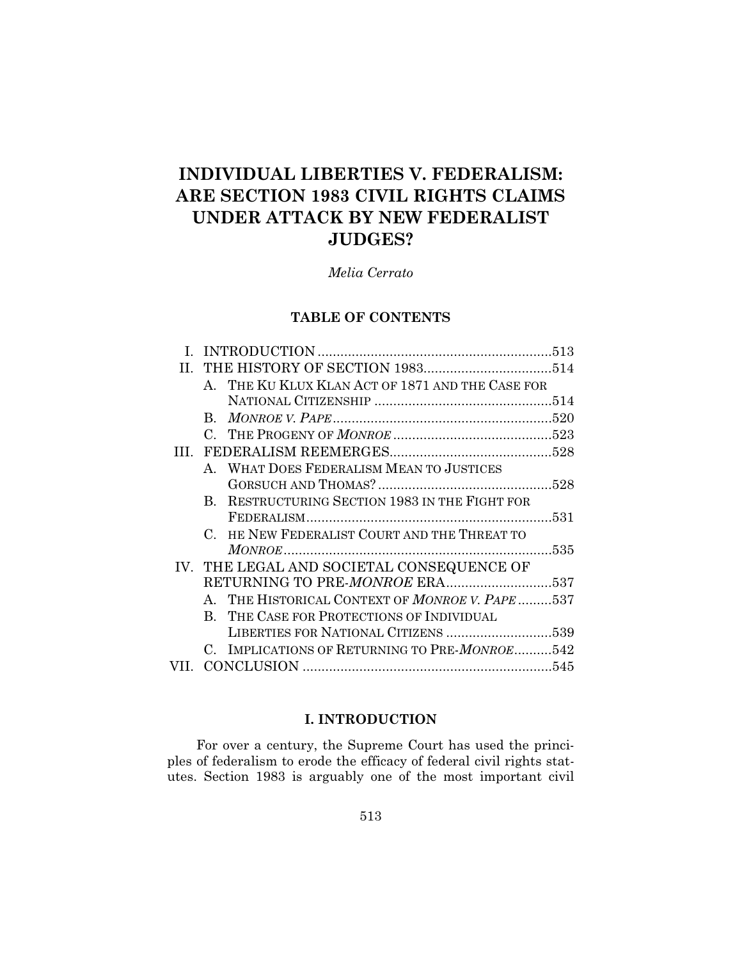# **INDIVIDUAL LIBERTIES V. FEDERALISM: ARE SECTION 1983 CIVIL RIGHTS CLAIMS UNDER ATTACK BY NEW FEDERALIST JUDGES?**

*Melia Cerrato*

# **TABLE OF CONTENTS**

|   |                                | A. THE KU KLUX KLAN ACT OF 1871 AND THE CASE FOR |  |
|---|--------------------------------|--------------------------------------------------|--|
|   |                                |                                                  |  |
|   |                                |                                                  |  |
|   |                                |                                                  |  |
| Ш |                                |                                                  |  |
|   |                                | A. WHAT DOES FEDERALISM MEAN TO JUSTICES         |  |
|   |                                |                                                  |  |
|   |                                | B. RESTRUCTURING SECTION 1983 IN THE FIGHT FOR   |  |
|   |                                |                                                  |  |
|   |                                | C. HE NEW FEDERALIST COURT AND THE THREAT TO     |  |
|   |                                |                                                  |  |
|   |                                | IV. THE LEGAL AND SOCIETAL CONSEQUENCE OF        |  |
|   | RETURNING TO PRE-MONROE ERA537 |                                                  |  |
|   |                                | A. THE HISTORICAL CONTEXT OF MONROE V. PAPE 537  |  |
|   |                                | B. THE CASE FOR PROTECTIONS OF INDIVIDUAL        |  |
|   |                                | LIBERTIES FOR NATIONAL CITIZENS 539              |  |
|   |                                | C. IMPLICATIONS OF RETURNING TO PRE-MONROE542    |  |
|   |                                |                                                  |  |
|   |                                |                                                  |  |

# **I. INTRODUCTION**

For over a century, the Supreme Court has used the principles of federalism to erode the efficacy of federal civil rights statutes. Section 1983 is arguably one of the most important civil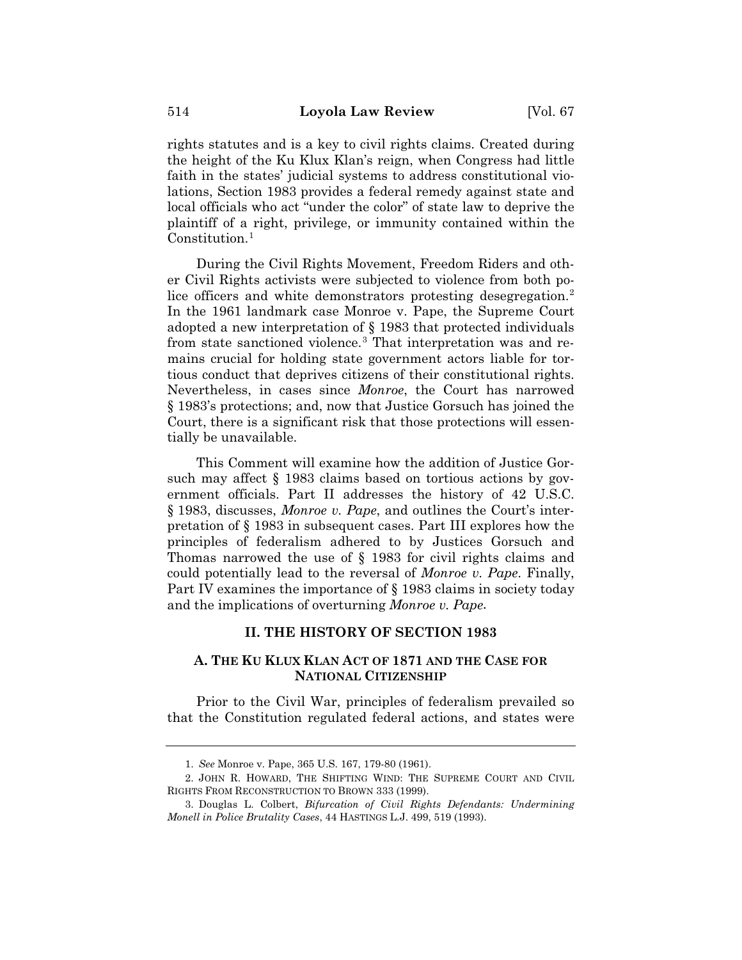rights statutes and is a key to civil rights claims. Created during the height of the Ku Klux Klan's reign, when Congress had little faith in the states' judicial systems to address constitutional violations, Section 1983 provides a federal remedy against state and local officials who act "under the color" of state law to deprive the plaintiff of a right, privilege, or immunity contained within the Constitution.<sup>1</sup>

During the Civil Rights Movement, Freedom Riders and other Civil Rights activists were subjected to violence from both police officers and white demonstrators protesting desegregation.<sup>2</sup> In the 1961 landmark case Monroe v. Pape, the Supreme Court adopted a new interpretation of § 1983 that protected individuals from state sanctioned violence.3 That interpretation was and remains crucial for holding state government actors liable for tortious conduct that deprives citizens of their constitutional rights. Nevertheless, in cases since *Monroe*, the Court has narrowed § 1983's protections; and, now that Justice Gorsuch has joined the Court, there is a significant risk that those protections will essentially be unavailable.

This Comment will examine how the addition of Justice Gorsuch may affect § 1983 claims based on tortious actions by government officials. Part II addresses the history of 42 U.S.C. § 1983, discusses, *Monroe v. Pape*, and outlines the Court's interpretation of § 1983 in subsequent cases. Part III explores how the principles of federalism adhered to by Justices Gorsuch and Thomas narrowed the use of § 1983 for civil rights claims and could potentially lead to the reversal of *Monroe v. Pape*. Finally, Part IV examines the importance of § 1983 claims in society today and the implications of overturning *Monroe v. Pape.*

## **II. THE HISTORY OF SECTION 1983**

# **A. THE KU KLUX KLAN ACT OF 1871 AND THE CASE FOR NATIONAL CITIZENSHIP**

Prior to the Civil War, principles of federalism prevailed so that the Constitution regulated federal actions, and states were

<sup>1.</sup> *See* Monroe v. Pape, 365 U.S. 167, 179-80 (1961).

<sup>2.</sup> JOHN R. HOWARD, THE SHIFTING WIND: THE SUPREME COURT AND CIVIL RIGHTS FROM RECONSTRUCTION TO BROWN 333 (1999).

<sup>3.</sup> Douglas L. Colbert, *Bifurcation of Civil Rights Defendants: Undermining Monell in Police Brutality Cases*, 44 HASTINGS L.J. 499, 519 (1993).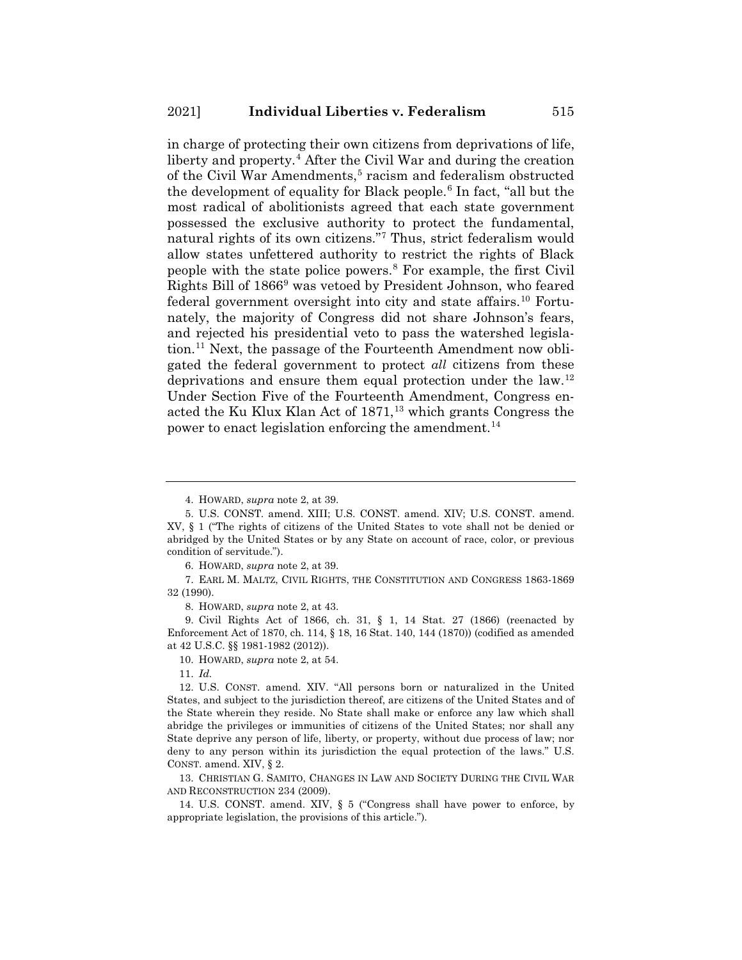in charge of protecting their own citizens from deprivations of life, liberty and property.<sup>4</sup> After the Civil War and during the creation of the Civil War Amendments,<sup>5</sup> racism and federalism obstructed the development of equality for Black people.<sup>6</sup> In fact, "all but the most radical of abolitionists agreed that each state government possessed the exclusive authority to protect the fundamental, natural rights of its own citizens."7 Thus, strict federalism would allow states unfettered authority to restrict the rights of Black people with the state police powers.8 For example, the first Civil Rights Bill of 18669 was vetoed by President Johnson, who feared federal government oversight into city and state affairs.10 Fortunately, the majority of Congress did not share Johnson's fears, and rejected his presidential veto to pass the watershed legislation.11 Next, the passage of the Fourteenth Amendment now obligated the federal government to protect *all* citizens from these deprivations and ensure them equal protection under the law.12 Under Section Five of the Fourteenth Amendment, Congress enacted the Ku Klux Klan Act of 1871,<sup>13</sup> which grants Congress the power to enact legislation enforcing the amendment.<sup>14</sup>

6. HOWARD, *supra* note 2, at 39.

7. EARL M. MALTZ, CIVIL RIGHTS, THE CONSTITUTION AND CONGRESS 1863-1869 32 (1990).

8. HOWARD, *supra* note 2, at 43.

9. Civil Rights Act of 1866, ch. 31, § 1, 14 Stat. 27 (1866) (reenacted by Enforcement Act of 1870, ch. 114, § 18, 16 Stat. 140, 144 (1870)) (codified as amended at 42 U.S.C. §§ 1981-1982 (2012)).

10. HOWARD, *supra* note 2, at 54.

11. *Id.*

12. U.S. CONST. amend. XIV. "All persons born or naturalized in the United States, and subject to the jurisdiction thereof, are citizens of the United States and of the State wherein they reside. No State shall make or enforce any law which shall abridge the privileges or immunities of citizens of the United States; nor shall any State deprive any person of life, liberty, or property, without due process of law; nor deny to any person within its jurisdiction the equal protection of the laws." U.S. CONST. amend. XIV, § 2.

13. CHRISTIAN G. SAMITO, CHANGES IN LAW AND SOCIETY DURING THE CIVIL WAR AND RECONSTRUCTION 234 (2009).

14. U.S. CONST. amend. XIV, § 5 ("Congress shall have power to enforce, by appropriate legislation, the provisions of this article.").

<sup>4.</sup> HOWARD, *supra* note 2, at 39.

<sup>5.</sup> U.S. CONST. amend. XIII; U.S. CONST. amend. XIV; U.S. CONST. amend. XV, § 1 ("The rights of citizens of the United States to vote shall not be denied or abridged by the United States or by any State on account of race, color, or previous condition of servitude.").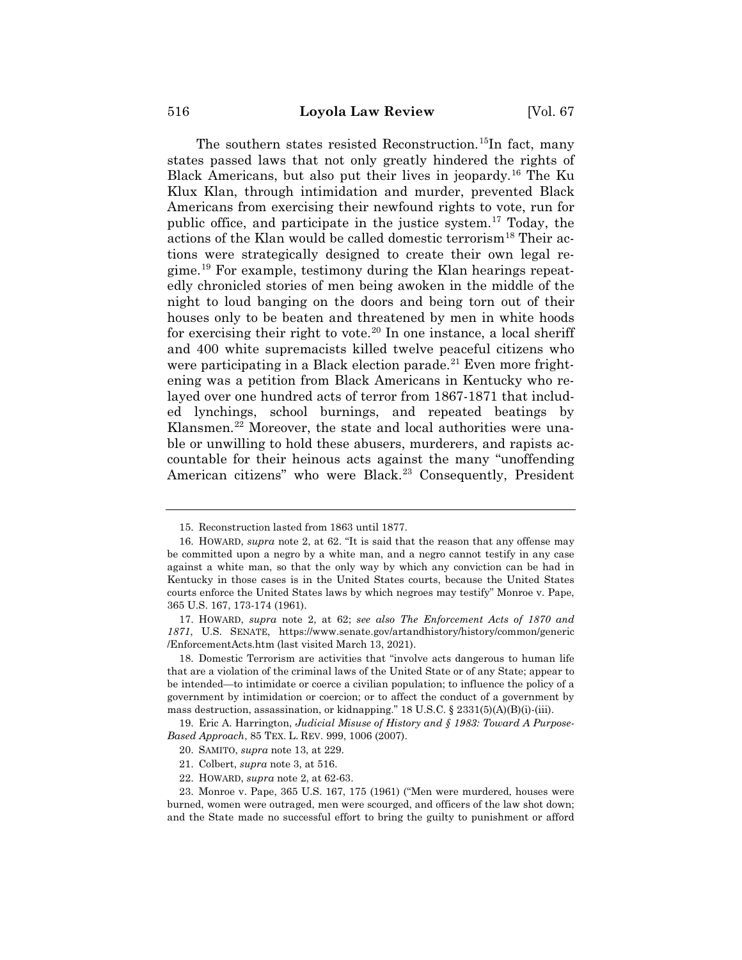The southern states resisted Reconstruction.<sup>15</sup>In fact, many states passed laws that not only greatly hindered the rights of Black Americans, but also put their lives in jeopardy.16 The Ku Klux Klan, through intimidation and murder, prevented Black Americans from exercising their newfound rights to vote, run for public office, and participate in the justice system.17 Today, the actions of the Klan would be called domestic terrorism<sup>18</sup> Their actions were strategically designed to create their own legal regime.19 For example, testimony during the Klan hearings repeatedly chronicled stories of men being awoken in the middle of the night to loud banging on the doors and being torn out of their houses only to be beaten and threatened by men in white hoods for exercising their right to vote.<sup>20</sup> In one instance, a local sheriff and 400 white supremacists killed twelve peaceful citizens who were participating in a Black election parade.<sup>21</sup> Even more frightening was a petition from Black Americans in Kentucky who relayed over one hundred acts of terror from 1867-1871 that included lynchings, school burnings, and repeated beatings by Klansmen.<sup>22</sup> Moreover, the state and local authorities were unable or unwilling to hold these abusers, murderers, and rapists accountable for their heinous acts against the many "unoffending American citizens" who were Black.<sup>23</sup> Consequently, President

<sup>15.</sup> Reconstruction lasted from 1863 until 1877.

<sup>16.</sup> HOWARD, *supra* note 2, at 62. "It is said that the reason that any offense may be committed upon a negro by a white man, and a negro cannot testify in any case against a white man, so that the only way by which any conviction can be had in Kentucky in those cases is in the United States courts, because the United States courts enforce the United States laws by which negroes may testify" Monroe v. Pape, 365 U.S. 167, 173-174 (1961).

<sup>17.</sup> HOWARD, *supra* note 2, at 62; *see also The Enforcement Acts of 1870 and 1871*, U.S. SENATE, https://www.senate.gov/artandhistory/history/common/generic /EnforcementActs.htm (last visited March 13, 2021).

<sup>18.</sup> Domestic Terrorism are activities that "involve acts dangerous to human life that are a violation of the criminal laws of the United State or of any State; appear to be intended—to intimidate or coerce a civilian population; to influence the policy of a government by intimidation or coercion; or to affect the conduct of a government by mass destruction, assassination, or kidnapping." 18 U.S.C. § 2331(5)(A)(B)(i)-(iii).

<sup>19.</sup> Eric A. Harrington, *Judicial Misuse of History and § 1983: Toward A Purpose-Based Approach*, 85 TEX. L. REV. 999, 1006 (2007).

<sup>20.</sup> SAMITO, *supra* note 13, at 229.

<sup>21.</sup> Colbert, *supra* note 3, at 516.

<sup>22.</sup> HOWARD, *supra* note 2, at 62-63.

<sup>23.</sup> Monroe v. Pape, 365 U.S. 167, 175 (1961) ("Men were murdered, houses were burned, women were outraged, men were scourged, and officers of the law shot down; and the State made no successful effort to bring the guilty to punishment or afford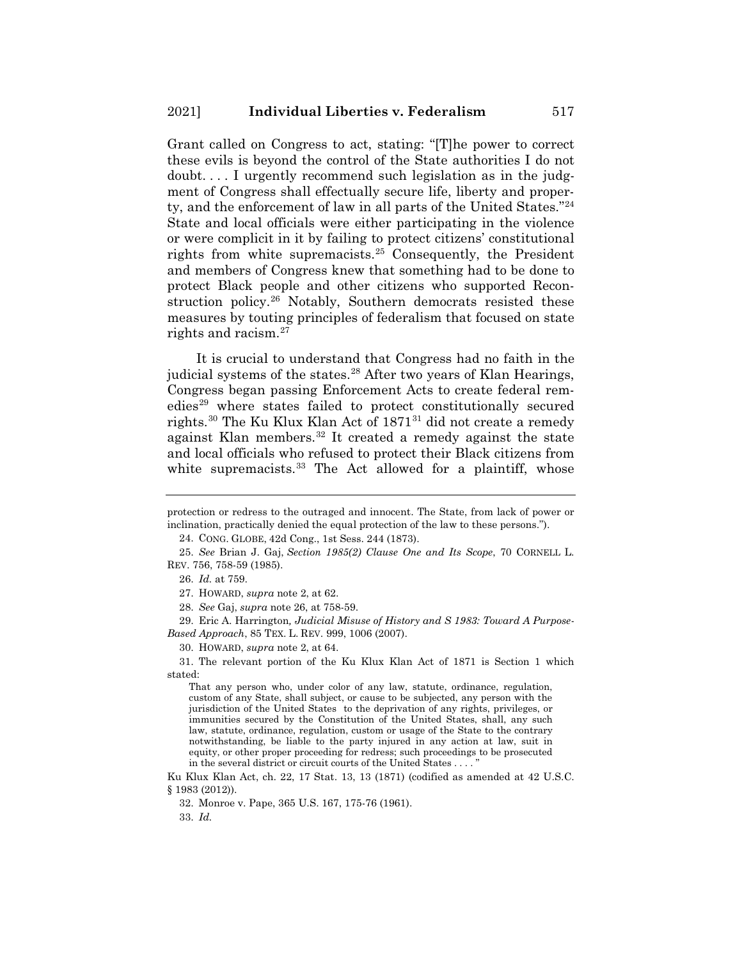Grant called on Congress to act, stating: "[T]he power to correct these evils is beyond the control of the State authorities I do not doubt. . . . I urgently recommend such legislation as in the judgment of Congress shall effectually secure life, liberty and property, and the enforcement of law in all parts of the United States."24 State and local officials were either participating in the violence or were complicit in it by failing to protect citizens' constitutional rights from white supremacists.25 Consequently, the President and members of Congress knew that something had to be done to protect Black people and other citizens who supported Reconstruction policy.<sup>26</sup> Notably, Southern democrats resisted these measures by touting principles of federalism that focused on state rights and racism.27

It is crucial to understand that Congress had no faith in the judicial systems of the states.<sup>28</sup> After two years of Klan Hearings, Congress began passing Enforcement Acts to create federal remedies<sup>29</sup> where states failed to protect constitutionally secured rights.<sup>30</sup> The Ku Klux Klan Act of 1871<sup>31</sup> did not create a remedy against Klan members.<sup>32</sup> It created a remedy against the state and local officials who refused to protect their Black citizens from white supremacists. $33$  The Act allowed for a plaintiff, whose

24. CONG. GLOBE, 42d Cong., 1st Sess. 244 (1873).

26. *Id.* at 759.

29. Eric A. Harrington*, Judicial Misuse of History and S 1983: Toward A Purpose-Based Approach*, 85 TEX. L. REV. 999, 1006 (2007).

31. The relevant portion of the Ku Klux Klan Act of 1871 is Section 1 which stated:

That any person who, under color of any law, statute, ordinance, regulation, custom of any State, shall subject, or cause to be subjected, any person with the jurisdiction of the United States to the deprivation of any rights, privileges, or immunities secured by the Constitution of the United States, shall, any such law, statute, ordinance, regulation, custom or usage of the State to the contrary notwithstanding, be liable to the party injured in any action at law, suit in equity, or other proper proceeding for redress; such proceedings to be prosecuted in the several district or circuit courts of the United States  $\dots$ .

Ku Klux Klan Act, ch. 22, 17 Stat. 13, 13 (1871) (codified as amended at 42 U.S.C. § 1983 (2012)).

32. Monroe v. Pape, 365 U.S. 167, 175-76 (1961).

33. *Id.*

protection or redress to the outraged and innocent. The State, from lack of power or inclination, practically denied the equal protection of the law to these persons.").

<sup>25.</sup> *See* Brian J. Gaj, *Section 1985(2) Clause One and Its Scope*, 70 CORNELL L. REV. 756, 758-59 (1985).

<sup>27.</sup> HOWARD, *supra* note 2, at 62.

<sup>28.</sup> *See* Gaj, *supra* note 26, at 758-59.

<sup>30.</sup> HOWARD, *supra* note 2, at 64.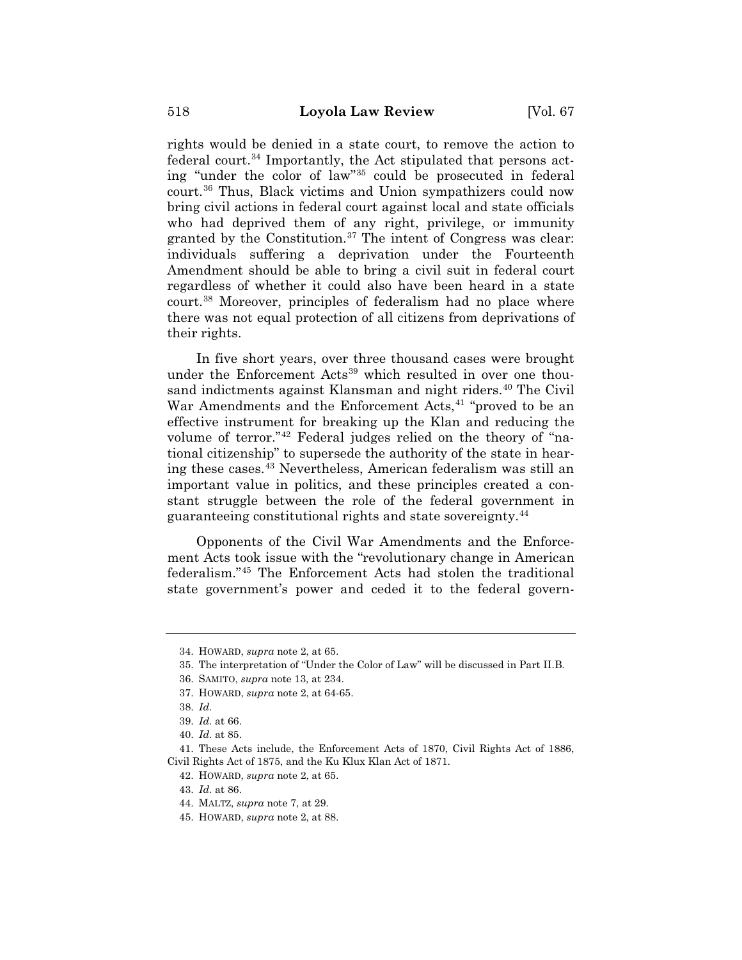rights would be denied in a state court, to remove the action to federal court.<sup>34</sup> Importantly, the Act stipulated that persons acting "under the color of law"35 could be prosecuted in federal court.36 Thus, Black victims and Union sympathizers could now bring civil actions in federal court against local and state officials who had deprived them of any right, privilege, or immunity granted by the Constitution.<sup>37</sup> The intent of Congress was clear: individuals suffering a deprivation under the Fourteenth Amendment should be able to bring a civil suit in federal court regardless of whether it could also have been heard in a state court.38 Moreover, principles of federalism had no place where there was not equal protection of all citizens from deprivations of their rights.

In five short years, over three thousand cases were brought under the Enforcement Acts<sup>39</sup> which resulted in over one thousand indictments against Klansman and night riders.<sup>40</sup> The Civil War Amendments and the Enforcement Acts,<sup>41</sup> "proved to be an effective instrument for breaking up the Klan and reducing the volume of terror."42 Federal judges relied on the theory of "national citizenship" to supersede the authority of the state in hearing these cases.43 Nevertheless, American federalism was still an important value in politics, and these principles created a constant struggle between the role of the federal government in guaranteeing constitutional rights and state sovereignty.44

Opponents of the Civil War Amendments and the Enforcement Acts took issue with the "revolutionary change in American federalism."45 The Enforcement Acts had stolen the traditional state government's power and ceded it to the federal govern-

<sup>34.</sup> HOWARD, *supra* note 2, at 65.

<sup>35.</sup> The interpretation of "Under the Color of Law" will be discussed in Part II.B.

<sup>36.</sup> SAMITO, *supra* note 13, at 234.

<sup>37.</sup> HOWARD, *supra* note 2, at 64-65.

<sup>38.</sup> *Id.*

<sup>39.</sup> *Id.* at 66.

<sup>40.</sup> *Id.* at 85.

<sup>41.</sup> These Acts include, the Enforcement Acts of 1870, Civil Rights Act of 1886, Civil Rights Act of 1875, and the Ku Klux Klan Act of 1871.

<sup>42.</sup> HOWARD, *supra* note 2, at 65.

<sup>43.</sup> *Id.* at 86.

<sup>44.</sup> MALTZ, *supra* note 7, at 29.

<sup>45.</sup> HOWARD, *supra* note 2, at 88.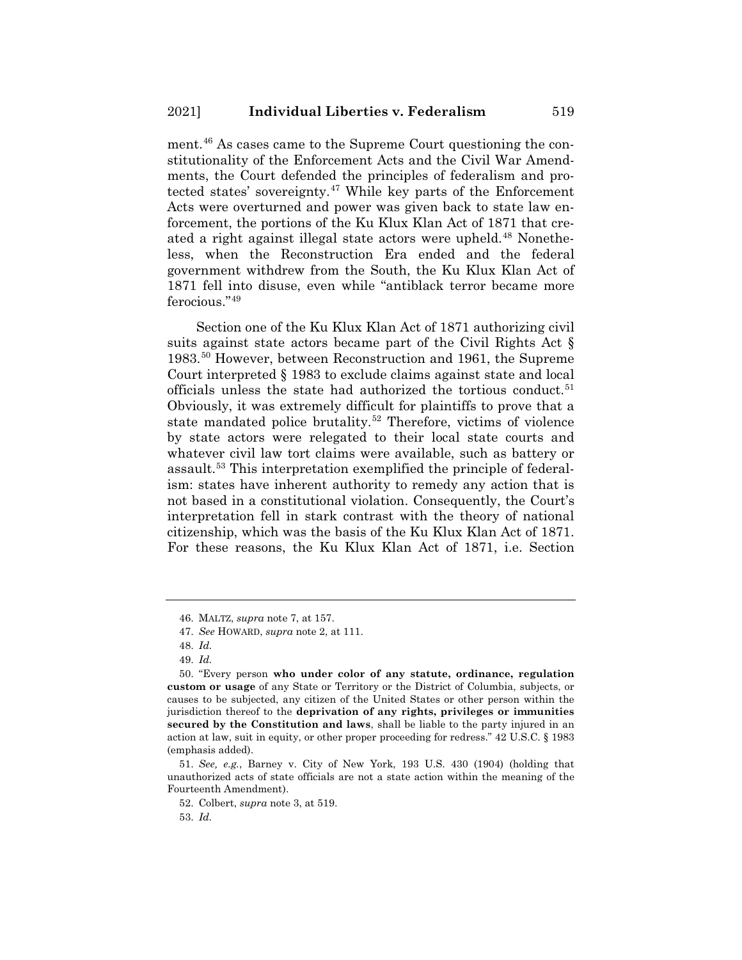ment.46 As cases came to the Supreme Court questioning the constitutionality of the Enforcement Acts and the Civil War Amendments, the Court defended the principles of federalism and protected states' sovereignty.<sup>47</sup> While key parts of the Enforcement Acts were overturned and power was given back to state law enforcement, the portions of the Ku Klux Klan Act of 1871 that created a right against illegal state actors were upheld.<sup>48</sup> Nonetheless, when the Reconstruction Era ended and the federal government withdrew from the South, the Ku Klux Klan Act of 1871 fell into disuse, even while "antiblack terror became more ferocious."49

Section one of the Ku Klux Klan Act of 1871 authorizing civil suits against state actors became part of the Civil Rights Act § 1983.50 However, between Reconstruction and 1961, the Supreme Court interpreted § 1983 to exclude claims against state and local officials unless the state had authorized the tortious conduct.<sup>51</sup> Obviously, it was extremely difficult for plaintiffs to prove that a state mandated police brutality.<sup>52</sup> Therefore, victims of violence by state actors were relegated to their local state courts and whatever civil law tort claims were available, such as battery or assault.53 This interpretation exemplified the principle of federalism: states have inherent authority to remedy any action that is not based in a constitutional violation. Consequently, the Court's interpretation fell in stark contrast with the theory of national citizenship, which was the basis of the Ku Klux Klan Act of 1871. For these reasons, the Ku Klux Klan Act of 1871, i.e. Section

<sup>46.</sup> MALTZ, *supra* note 7, at 157.

<sup>47.</sup> *See* HOWARD, *supra* note 2, at 111.

<sup>48.</sup> *Id.*

<sup>49.</sup> *Id.*

<sup>50. &</sup>quot;Every person **who under color of any statute, ordinance, regulation custom or usage** of any State or Territory or the District of Columbia, subjects, or causes to be subjected, any citizen of the United States or other person within the jurisdiction thereof to the **deprivation of any rights, privileges or immunities secured by the Constitution and laws**, shall be liable to the party injured in an action at law, suit in equity, or other proper proceeding for redress." 42 U.S.C. § 1983 (emphasis added).

<sup>51.</sup> *See, e.g.*, Barney v. City of New York, 193 U.S. 430 (1904) (holding that unauthorized acts of state officials are not a state action within the meaning of the Fourteenth Amendment).

<sup>52.</sup> Colbert, *supra* note 3, at 519.

<sup>53.</sup> *Id.*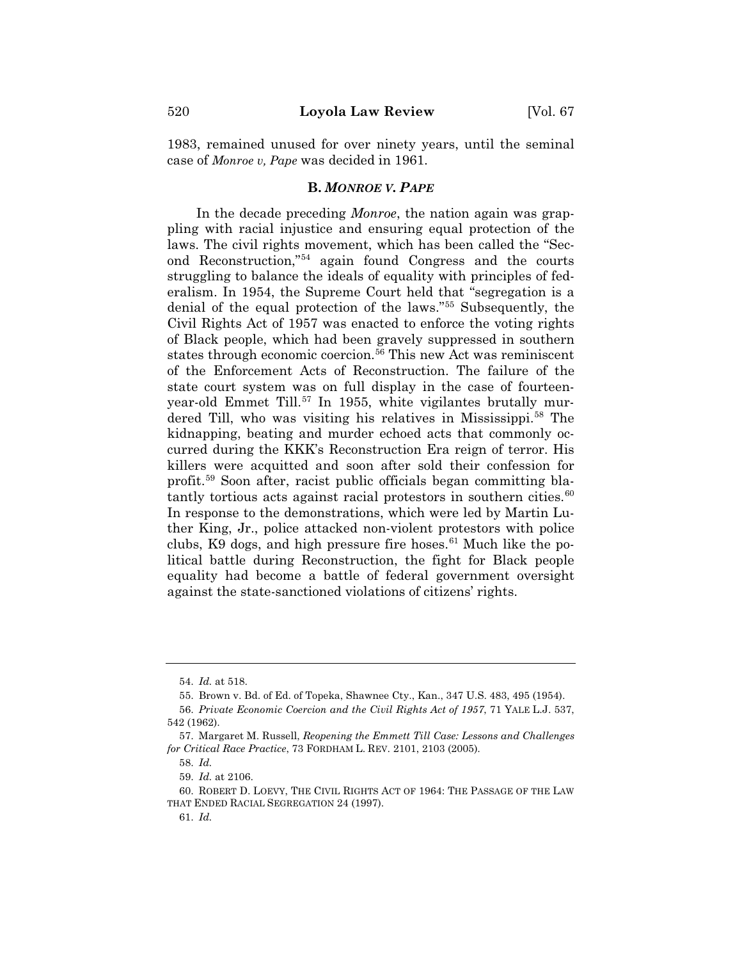1983, remained unused for over ninety years, until the seminal case of *Monroe v, Pape* was decided in 1961.

## **B.** *MONROE V. PAPE*

In the decade preceding *Monroe*, the nation again was grappling with racial injustice and ensuring equal protection of the laws. The civil rights movement, which has been called the "Second Reconstruction,"54 again found Congress and the courts struggling to balance the ideals of equality with principles of federalism. In 1954, the Supreme Court held that "segregation is a denial of the equal protection of the laws."55 Subsequently, the Civil Rights Act of 1957 was enacted to enforce the voting rights of Black people, which had been gravely suppressed in southern states through economic coercion.<sup>56</sup> This new Act was reminiscent of the Enforcement Acts of Reconstruction. The failure of the state court system was on full display in the case of fourteenyear-old Emmet Till.<sup>57</sup> In 1955, white vigilantes brutally murdered Till, who was visiting his relatives in Mississippi.<sup>58</sup> The kidnapping, beating and murder echoed acts that commonly occurred during the KKK's Reconstruction Era reign of terror. His killers were acquitted and soon after sold their confession for profit.59 Soon after, racist public officials began committing blatantly tortious acts against racial protestors in southern cities. $60$ In response to the demonstrations, which were led by Martin Luther King, Jr., police attacked non-violent protestors with police clubs, K9 dogs, and high pressure fire hoses.<sup>61</sup> Much like the political battle during Reconstruction, the fight for Black people equality had become a battle of federal government oversight against the state-sanctioned violations of citizens' rights.

<sup>54.</sup> *Id.* at 518.

<sup>55.</sup> Brown v. Bd. of Ed. of Topeka, Shawnee Cty., Kan., 347 U.S. 483, 495 (1954).

<sup>56.</sup> *Private Economic Coercion and the Civil Rights Act of 1957*, 71 YALE L.J. 537, 542 (1962).

<sup>57.</sup> Margaret M. Russell, *Reopening the Emmett Till Case: Lessons and Challenges for Critical Race Practice*, 73 FORDHAM L. REV. 2101, 2103 (2005).

<sup>58.</sup> *Id.*

<sup>59.</sup> *Id.* at 2106.

<sup>60.</sup> ROBERT D. LOEVY, THE CIVIL RIGHTS ACT OF 1964: THE PASSAGE OF THE LAW THAT ENDED RACIAL SEGREGATION 24 (1997).

<sup>61.</sup> *Id.*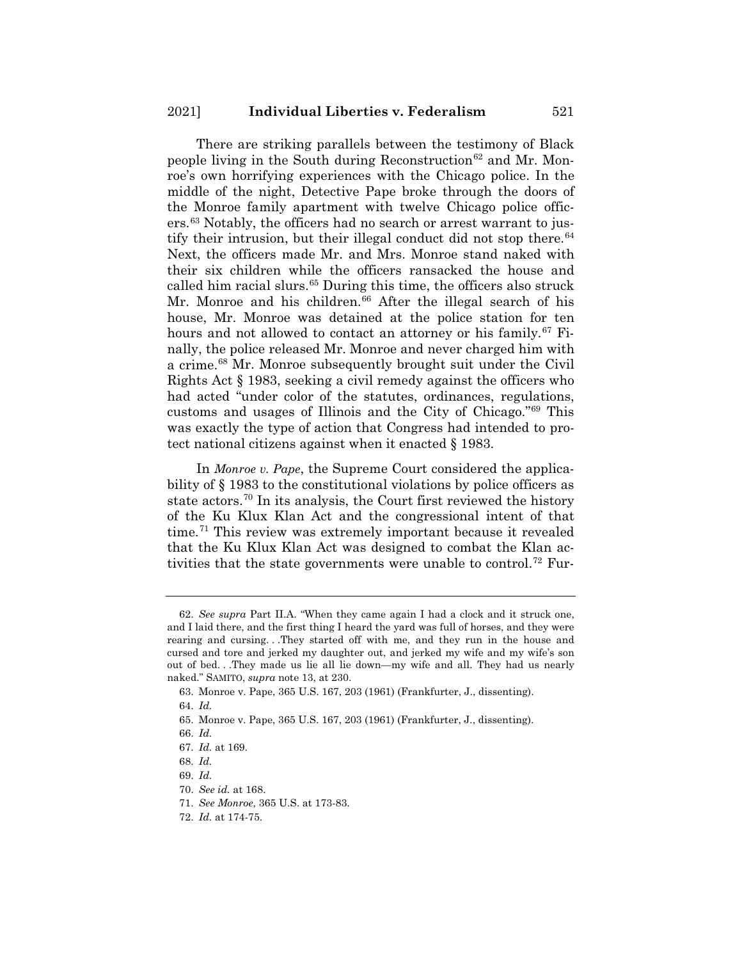There are striking parallels between the testimony of Black people living in the South during Reconstruction<sup>62</sup> and Mr. Monroe's own horrifying experiences with the Chicago police. In the middle of the night, Detective Pape broke through the doors of the Monroe family apartment with twelve Chicago police officers.63 Notably, the officers had no search or arrest warrant to justify their intrusion, but their illegal conduct did not stop there.  $64$ Next, the officers made Mr. and Mrs. Monroe stand naked with their six children while the officers ransacked the house and called him racial slurs.<sup>65</sup> During this time, the officers also struck Mr. Monroe and his children. $66$  After the illegal search of his house, Mr. Monroe was detained at the police station for ten hours and not allowed to contact an attorney or his family.<sup>67</sup> Finally, the police released Mr. Monroe and never charged him with a crime.68 Mr. Monroe subsequently brought suit under the Civil Rights Act § 1983, seeking a civil remedy against the officers who had acted "under color of the statutes, ordinances, regulations, customs and usages of Illinois and the City of Chicago."69 This was exactly the type of action that Congress had intended to protect national citizens against when it enacted § 1983.

In *Monroe v. Pape*, the Supreme Court considered the applicability of § 1983 to the constitutional violations by police officers as state actors.<sup>70</sup> In its analysis, the Court first reviewed the history of the Ku Klux Klan Act and the congressional intent of that time.71 This review was extremely important because it revealed that the Ku Klux Klan Act was designed to combat the Klan activities that the state governments were unable to control.<sup>72</sup> Fur-

<sup>62.</sup> *See supra* Part II.A. "When they came again I had a clock and it struck one, and I laid there, and the first thing I heard the yard was full of horses, and they were rearing and cursing. . .They started off with me, and they run in the house and cursed and tore and jerked my daughter out, and jerked my wife and my wife's son out of bed. . .They made us lie all lie down—my wife and all. They had us nearly naked." SAMITO, *supra* note 13, at 230.

<sup>63.</sup> Monroe v. Pape, 365 U.S. 167, 203 (1961) (Frankfurter, J., dissenting). 64. *Id.*

<sup>65.</sup> Monroe v. Pape, 365 U.S. 167, 203 (1961) (Frankfurter, J., dissenting).

<sup>66.</sup> *Id.*

<sup>67.</sup> *Id.* at 169.

<sup>68.</sup> *Id.*

<sup>69.</sup> *Id.*

<sup>70.</sup> *See id.* at 168.

<sup>71.</sup> *See Monroe*, 365 U.S. at 173-83.

<sup>72.</sup> *Id.* at 174-75.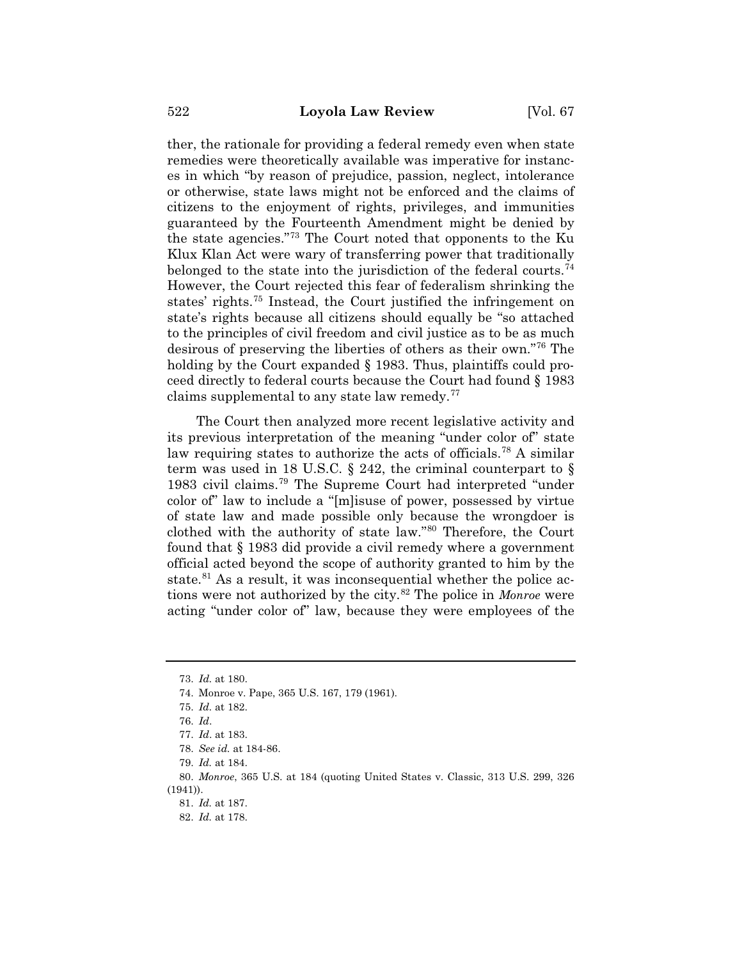ther, the rationale for providing a federal remedy even when state remedies were theoretically available was imperative for instances in which "by reason of prejudice, passion, neglect, intolerance or otherwise, state laws might not be enforced and the claims of citizens to the enjoyment of rights, privileges, and immunities guaranteed by the Fourteenth Amendment might be denied by the state agencies."73 The Court noted that opponents to the Ku Klux Klan Act were wary of transferring power that traditionally belonged to the state into the jurisdiction of the federal courts.<sup>74</sup> However, the Court rejected this fear of federalism shrinking the states' rights.75 Instead, the Court justified the infringement on state's rights because all citizens should equally be "so attached to the principles of civil freedom and civil justice as to be as much desirous of preserving the liberties of others as their own."76 The holding by the Court expanded § 1983. Thus, plaintiffs could proceed directly to federal courts because the Court had found § 1983 claims supplemental to any state law remedy.77

The Court then analyzed more recent legislative activity and its previous interpretation of the meaning "under color of" state law requiring states to authorize the acts of officials.<sup>78</sup> A similar term was used in 18 U.S.C.  $\S$  242, the criminal counterpart to  $\S$ 1983 civil claims.79 The Supreme Court had interpreted "under color of" law to include a "[m]isuse of power, possessed by virtue of state law and made possible only because the wrongdoer is clothed with the authority of state law."80 Therefore, the Court found that § 1983 did provide a civil remedy where a government official acted beyond the scope of authority granted to him by the state.<sup>81</sup> As a result, it was inconsequential whether the police actions were not authorized by the city.82 The police in *Monroe* were acting "under color of" law, because they were employees of the

<sup>73.</sup> *Id.* at 180.

<sup>74.</sup> Monroe v. Pape, 365 U.S. 167, 179 (1961).

<sup>75.</sup> *Id.* at 182.

<sup>76.</sup> *Id*.

<sup>77.</sup> *Id*. at 183.

<sup>78.</sup> *See id.* at 184-86.

<sup>79.</sup> *Id.* at 184.

<sup>80.</sup> *Monroe*, 365 U.S. at 184 (quoting United States v. Classic, 313 U.S. 299, 326 (1941)).

<sup>81.</sup> *Id.* at 187.

<sup>82.</sup> *Id.* at 178.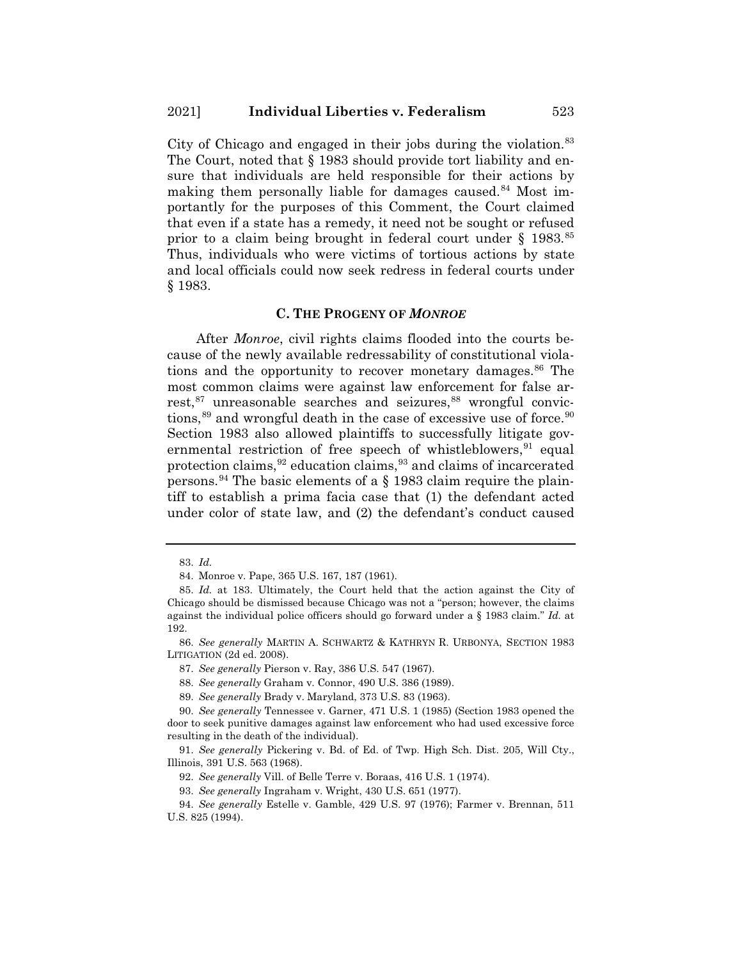City of Chicago and engaged in their jobs during the violation.<sup>83</sup> The Court, noted that § 1983 should provide tort liability and ensure that individuals are held responsible for their actions by making them personally liable for damages caused.<sup>84</sup> Most importantly for the purposes of this Comment, the Court claimed that even if a state has a remedy, it need not be sought or refused prior to a claim being brought in federal court under  $\S$  1983.<sup>85</sup> Thus, individuals who were victims of tortious actions by state and local officials could now seek redress in federal courts under § 1983.

#### **C. THE PROGENY OF** *MONROE*

After *Monroe*, civil rights claims flooded into the courts because of the newly available redressability of constitutional violations and the opportunity to recover monetary damages.<sup>86</sup> The most common claims were against law enforcement for false arrest,<sup>87</sup> unreasonable searches and seizures,<sup>88</sup> wrongful convictions, $89$  and wrongful death in the case of excessive use of force. $90$ Section 1983 also allowed plaintiffs to successfully litigate governmental restriction of free speech of whistleblowers, <sup>91</sup> equal protection claims,  $92$  education claims,  $93$  and claims of incarcerated persons.<sup>94</sup> The basic elements of a  $\S$  1983 claim require the plaintiff to establish a prima facia case that (1) the defendant acted under color of state law, and (2) the defendant's conduct caused

92. *See generally* Vill. of Belle Terre v. Boraas, 416 U.S. 1 (1974).

<sup>83.</sup> *Id.*

<sup>84.</sup> Monroe v. Pape, 365 U.S. 167, 187 (1961).

<sup>85.</sup> *Id.* at 183. Ultimately, the Court held that the action against the City of Chicago should be dismissed because Chicago was not a "person; however, the claims against the individual police officers should go forward under a § 1983 claim." *Id.* at 192.

<sup>86.</sup> *See generally* MARTIN A. SCHWARTZ & KATHRYN R. URBONYA, SECTION 1983 LITIGATION (2d ed. 2008).

<sup>87.</sup> *See generally* Pierson v. Ray, 386 U.S. 547 (1967).

<sup>88.</sup> *See generally* Graham v. Connor, 490 U.S. 386 (1989).

<sup>89.</sup> *See generally* Brady v. Maryland, 373 U.S. 83 (1963).

<sup>90.</sup> *See generally* Tennessee v. Garner, 471 U.S. 1 (1985) (Section 1983 opened the door to seek punitive damages against law enforcement who had used excessive force resulting in the death of the individual).

<sup>91.</sup> *See generally* Pickering v. Bd. of Ed. of Twp. High Sch. Dist. 205, Will Cty., Illinois, 391 U.S. 563 (1968).

<sup>93.</sup> *See generally* Ingraham v. Wright, 430 U.S. 651 (1977).

<sup>94.</sup> *See generally* Estelle v. Gamble, 429 U.S. 97 (1976); Farmer v. Brennan, 511 U.S. 825 (1994).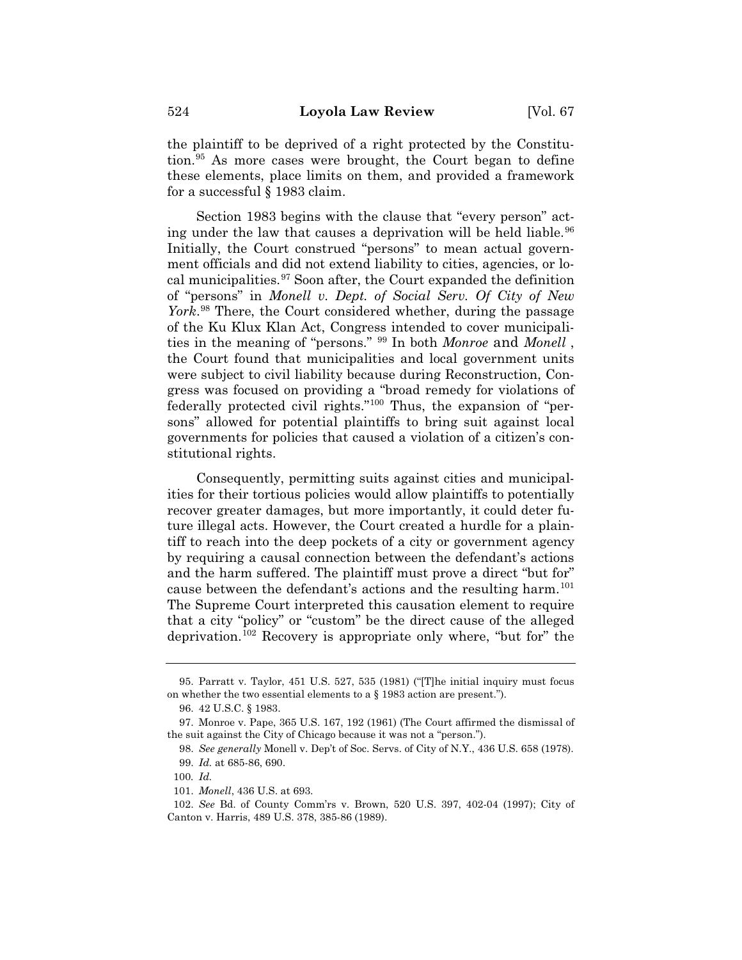the plaintiff to be deprived of a right protected by the Constitution.95 As more cases were brought, the Court began to define these elements, place limits on them, and provided a framework for a successful § 1983 claim.

Section 1983 begins with the clause that "every person" acting under the law that causes a deprivation will be held liable.<sup>96</sup> Initially, the Court construed "persons" to mean actual government officials and did not extend liability to cities, agencies, or local municipalities.97 Soon after, the Court expanded the definition of "persons" in *Monell v. Dept. of Social Serv. Of City of New York*. <sup>98</sup> There, the Court considered whether, during the passage of the Ku Klux Klan Act, Congress intended to cover municipalities in the meaning of "persons." <sup>99</sup> In both *Monroe* and *Monell* , the Court found that municipalities and local government units were subject to civil liability because during Reconstruction, Congress was focused on providing a "broad remedy for violations of federally protected civil rights."100 Thus, the expansion of "persons" allowed for potential plaintiffs to bring suit against local governments for policies that caused a violation of a citizen's constitutional rights.

Consequently, permitting suits against cities and municipalities for their tortious policies would allow plaintiffs to potentially recover greater damages, but more importantly, it could deter future illegal acts. However, the Court created a hurdle for a plaintiff to reach into the deep pockets of a city or government agency by requiring a causal connection between the defendant's actions and the harm suffered. The plaintiff must prove a direct "but for" cause between the defendant's actions and the resulting harm.<sup>101</sup> The Supreme Court interpreted this causation element to require that a city "policy" or "custom" be the direct cause of the alleged deprivation.102 Recovery is appropriate only where, "but for" the

<sup>95.</sup> Parratt v. Taylor, 451 U.S. 527, 535 (1981) ("[T]he initial inquiry must focus on whether the two essential elements to a § 1983 action are present.").

<sup>96. 42</sup> U.S.C. § 1983.

<sup>97.</sup> Monroe v. Pape, 365 U.S. 167, 192 (1961) (The Court affirmed the dismissal of the suit against the City of Chicago because it was not a "person.").

<sup>98.</sup> *See generally* Monell v. Dep't of Soc. Servs. of City of N.Y., 436 U.S. 658 (1978). 99. *Id.* at 685-86, 690.

<sup>100</sup>*. Id.*

<sup>101.</sup> *Monell*, 436 U.S. at 693.

<sup>102.</sup> *See* Bd. of County Comm'rs v. Brown, 520 U.S. 397, 402-04 (1997); City of Canton v. Harris, 489 U.S. 378, 385-86 (1989).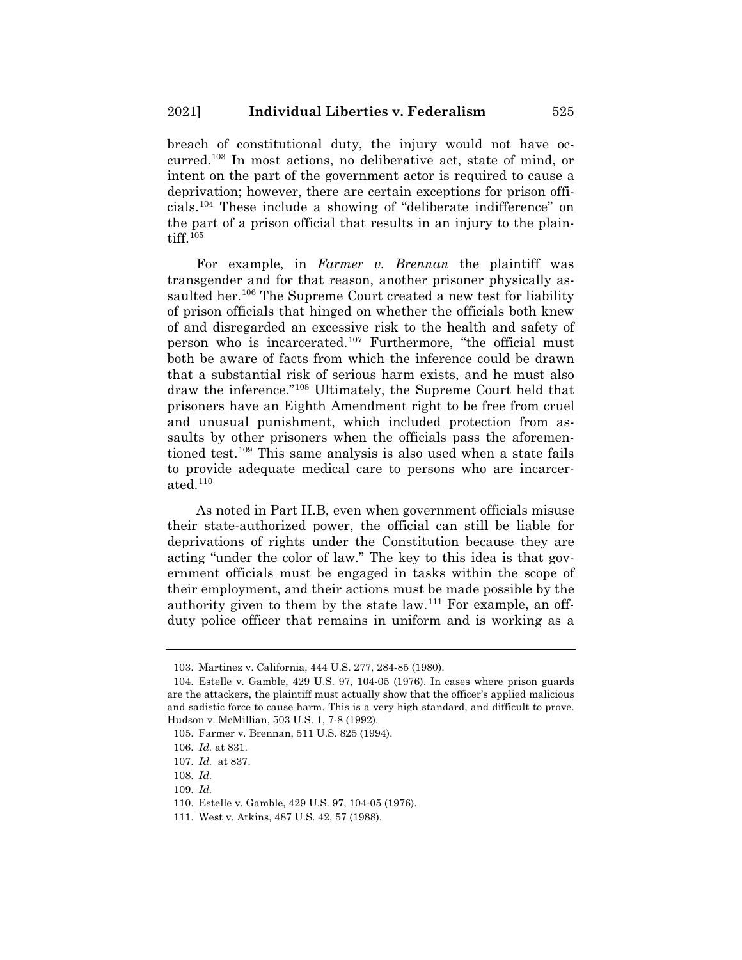breach of constitutional duty, the injury would not have occurred.103 In most actions, no deliberative act, state of mind, or intent on the part of the government actor is required to cause a deprivation; however, there are certain exceptions for prison officials.104 These include a showing of "deliberate indifference" on the part of a prison official that results in an injury to the plaintiff. $105$ 

For example, in *Farmer v. Brennan* the plaintiff was transgender and for that reason, another prisoner physically assaulted her.<sup>106</sup> The Supreme Court created a new test for liability of prison officials that hinged on whether the officials both knew of and disregarded an excessive risk to the health and safety of person who is incarcerated.107 Furthermore, "the official must both be aware of facts from which the inference could be drawn that a substantial risk of serious harm exists, and he must also draw the inference."108 Ultimately, the Supreme Court held that prisoners have an Eighth Amendment right to be free from cruel and unusual punishment, which included protection from assaults by other prisoners when the officials pass the aforementioned test.109 This same analysis is also used when a state fails to provide adequate medical care to persons who are incarcerated.110

As noted in Part II.B, even when government officials misuse their state-authorized power, the official can still be liable for deprivations of rights under the Constitution because they are acting "under the color of law." The key to this idea is that government officials must be engaged in tasks within the scope of their employment, and their actions must be made possible by the authority given to them by the state law.111 For example, an offduty police officer that remains in uniform and is working as a

<sup>103.</sup> Martinez v. California, 444 U.S. 277, 284-85 (1980).

<sup>104.</sup> Estelle v. Gamble, 429 U.S. 97, 104-05 (1976). In cases where prison guards are the attackers, the plaintiff must actually show that the officer's applied malicious and sadistic force to cause harm. This is a very high standard, and difficult to prove. Hudson v. McMillian, 503 U.S. 1, 7-8 (1992).

<sup>105.</sup> Farmer v. Brennan, 511 U.S. 825 (1994).

<sup>106.</sup> *Id.* at 831.

<sup>107.</sup> *Id.* at 837.

<sup>108.</sup> *Id.*

<sup>109.</sup> *Id.*

<sup>110.</sup> Estelle v. Gamble, 429 U.S. 97, 104-05 (1976).

<sup>111.</sup> West v. Atkins, 487 U.S. 42, 57 (1988).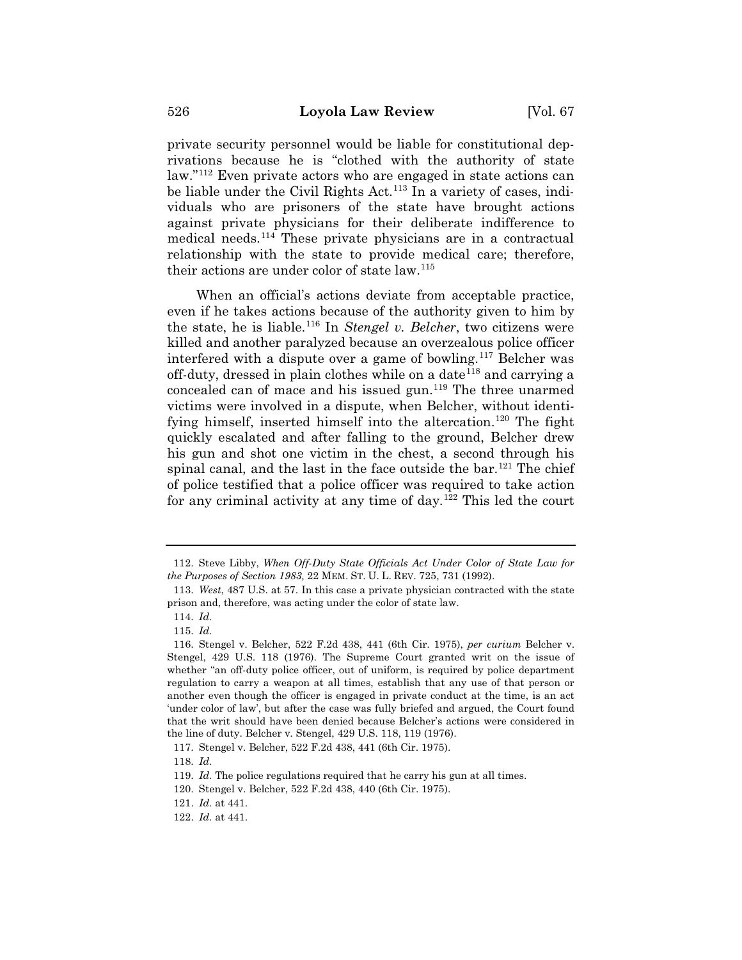private security personnel would be liable for constitutional deprivations because he is "clothed with the authority of state law."112 Even private actors who are engaged in state actions can be liable under the Civil Rights Act.<sup>113</sup> In a variety of cases, individuals who are prisoners of the state have brought actions against private physicians for their deliberate indifference to medical needs.114 These private physicians are in a contractual relationship with the state to provide medical care; therefore, their actions are under color of state law.115

When an official's actions deviate from acceptable practice, even if he takes actions because of the authority given to him by the state, he is liable.116 In *Stengel v. Belcher*, two citizens were killed and another paralyzed because an overzealous police officer interfered with a dispute over a game of bowling.117 Belcher was off-duty, dressed in plain clothes while on a date<sup>118</sup> and carrying a concealed can of mace and his issued gun.119 The three unarmed victims were involved in a dispute, when Belcher, without identifying himself, inserted himself into the altercation.<sup>120</sup> The fight quickly escalated and after falling to the ground, Belcher drew his gun and shot one victim in the chest, a second through his spinal canal, and the last in the face outside the  $bar^{121}$  The chief of police testified that a police officer was required to take action for any criminal activity at any time of day.<sup>122</sup> This led the court

<sup>112.</sup> Steve Libby, *When Off-Duty State Officials Act Under Color of State Law for the Purposes of Section 1983,* 22 MEM. ST. U. L. REV. 725, 731 (1992).

<sup>113.</sup> *West*, 487 U.S. at 57. In this case a private physician contracted with the state prison and, therefore, was acting under the color of state law.

<sup>114.</sup> *Id.*

<sup>115.</sup> *Id.*

<sup>116.</sup> Stengel v. Belcher, 522 F.2d 438, 441 (6th Cir. 1975), *per curium* Belcher v. Stengel, 429 U.S. 118 (1976). The Supreme Court granted writ on the issue of whether "an off-duty police officer, out of uniform, is required by police department regulation to carry a weapon at all times, establish that any use of that person or another even though the officer is engaged in private conduct at the time, is an act 'under color of law', but after the case was fully briefed and argued, the Court found that the writ should have been denied because Belcher's actions were considered in the line of duty. Belcher v. Stengel, 429 U.S. 118, 119 (1976).

<sup>117.</sup> Stengel v. Belcher, 522 F.2d 438, 441 (6th Cir. 1975).

<sup>118.</sup> *Id.*

<sup>119.</sup> *Id.* The police regulations required that he carry his gun at all times.

<sup>120.</sup> Stengel v. Belcher, 522 F.2d 438, 440 (6th Cir. 1975).

<sup>121.</sup> *Id.* at 441.

<sup>122.</sup> *Id.* at 441.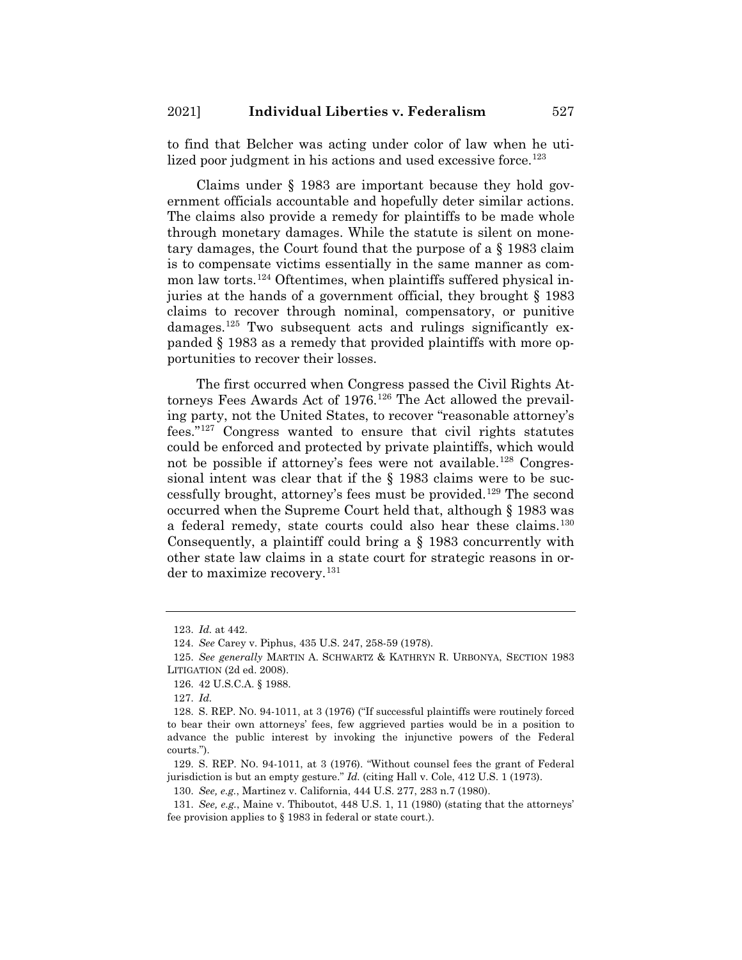to find that Belcher was acting under color of law when he utilized poor judgment in his actions and used excessive force.<sup>123</sup>

Claims under § 1983 are important because they hold government officials accountable and hopefully deter similar actions. The claims also provide a remedy for plaintiffs to be made whole through monetary damages. While the statute is silent on monetary damages, the Court found that the purpose of a § 1983 claim is to compensate victims essentially in the same manner as common law torts.<sup>124</sup> Oftentimes, when plaintiffs suffered physical injuries at the hands of a government official, they brought § 1983 claims to recover through nominal, compensatory, or punitive damages.<sup>125</sup> Two subsequent acts and rulings significantly expanded § 1983 as a remedy that provided plaintiffs with more opportunities to recover their losses.

The first occurred when Congress passed the Civil Rights Attorneys Fees Awards Act of  $1976$ .<sup>126</sup> The Act allowed the prevailing party, not the United States, to recover "reasonable attorney's fees."127 Congress wanted to ensure that civil rights statutes could be enforced and protected by private plaintiffs, which would not be possible if attorney's fees were not available.<sup>128</sup> Congressional intent was clear that if the § 1983 claims were to be successfully brought, attorney's fees must be provided.129 The second occurred when the Supreme Court held that, although § 1983 was a federal remedy, state courts could also hear these claims.<sup>130</sup> Consequently, a plaintiff could bring a § 1983 concurrently with other state law claims in a state court for strategic reasons in order to maximize recovery.<sup>131</sup>

<sup>123.</sup> *Id.* at 442.

<sup>124.</sup> *See* Carey v. Piphus, 435 U.S. 247, 258-59 (1978).

<sup>125.</sup> *See generally* MARTIN A. SCHWARTZ & KATHRYN R. URBONYA, SECTION 1983 LITIGATION (2d ed. 2008).

<sup>126. 42</sup> U.S.C.A. § 1988.

<sup>127.</sup> *Id.*

<sup>128.</sup> S. REP. NO. 94-1011, at 3 (1976) ("If successful plaintiffs were routinely forced to bear their own attorneys' fees, few aggrieved parties would be in a position to advance the public interest by invoking the injunctive powers of the Federal courts.").

<sup>129.</sup> S. REP. NO. 94-1011, at 3 (1976). "Without counsel fees the grant of Federal jurisdiction is but an empty gesture." *Id.* (citing Hall v. Cole, 412 U.S. 1 (1973).

<sup>130.</sup> *See, e.g.*, Martinez v. California, 444 U.S. 277, 283 n.7 (1980).

<sup>131.</sup> *See, e.g.*, Maine v. Thiboutot, 448 U.S. 1, 11 (1980) (stating that the attorneys' fee provision applies to § 1983 in federal or state court.).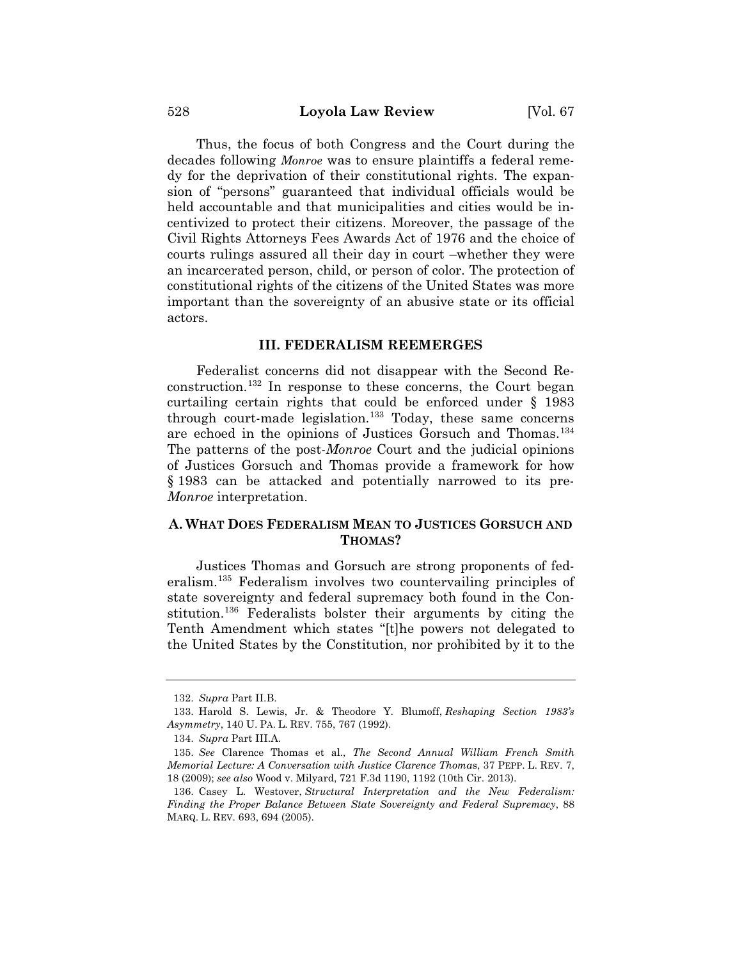Thus, the focus of both Congress and the Court during the decades following *Monroe* was to ensure plaintiffs a federal remedy for the deprivation of their constitutional rights. The expansion of "persons" guaranteed that individual officials would be held accountable and that municipalities and cities would be incentivized to protect their citizens. Moreover, the passage of the Civil Rights Attorneys Fees Awards Act of 1976 and the choice of courts rulings assured all their day in court –whether they were an incarcerated person, child, or person of color. The protection of constitutional rights of the citizens of the United States was more important than the sovereignty of an abusive state or its official actors.

#### **III. FEDERALISM REEMERGES**

Federalist concerns did not disappear with the Second Reconstruction.132 In response to these concerns, the Court began curtailing certain rights that could be enforced under § 1983 through court-made legislation.<sup>133</sup> Today, these same concerns are echoed in the opinions of Justices Gorsuch and Thomas.134 The patterns of the post-*Monroe* Court and the judicial opinions of Justices Gorsuch and Thomas provide a framework for how § 1983 can be attacked and potentially narrowed to its pre-*Monroe* interpretation.

## **A. WHAT DOES FEDERALISM MEAN TO JUSTICES GORSUCH AND THOMAS?**

Justices Thomas and Gorsuch are strong proponents of federalism.135 Federalism involves two countervailing principles of state sovereignty and federal supremacy both found in the Constitution.136 Federalists bolster their arguments by citing the Tenth Amendment which states "[t]he powers not delegated to the United States by the Constitution, nor prohibited by it to the

<sup>132.</sup> *Supra* Part II.B.

<sup>133.</sup> Harold S. Lewis, Jr. & Theodore Y. Blumoff, *Reshaping Section 1983's Asymmetry*, 140 U. PA. L. REV. 755, 767 (1992).

<sup>134.</sup> *Supra* Part III.A.

<sup>135.</sup> *See* Clarence Thomas et al., *The Second Annual William French Smith Memorial Lecture: A Conversation with Justice Clarence Thoma*s, 37 PEPP. L. REV. 7, 18 (2009); *see also* Wood v. Milyard, 721 F.3d 1190, 1192 (10th Cir. 2013).

<sup>136.</sup> Casey L. Westover, *Structural Interpretation and the New Federalism: Finding the Proper Balance Between State Sovereignty and Federal Supremacy*, 88 MARQ. L. REV. 693, 694 (2005).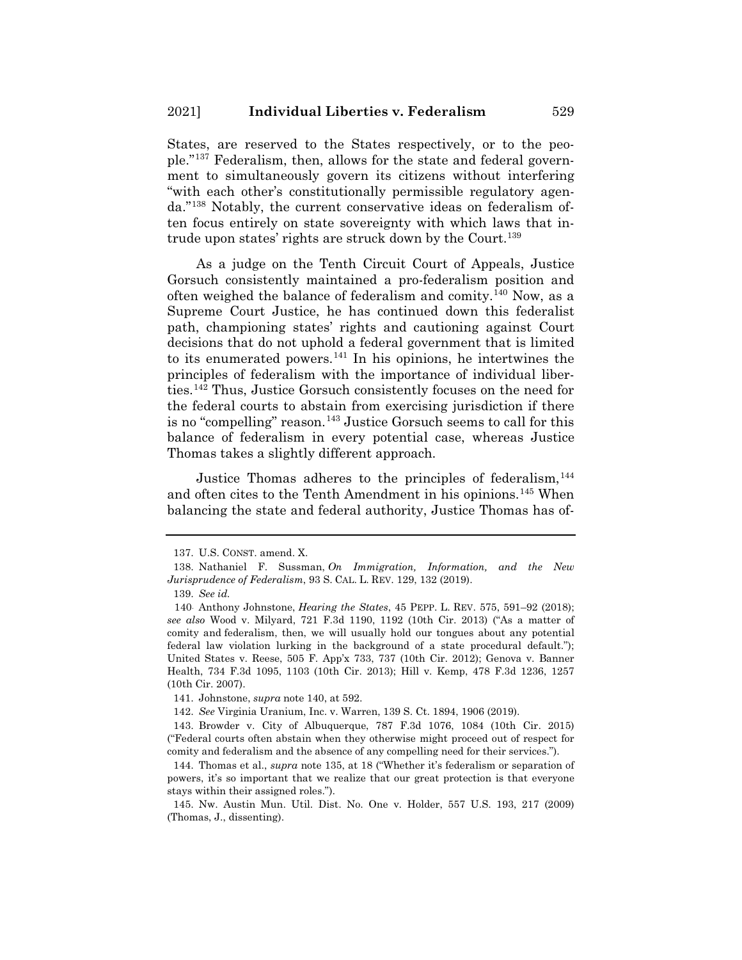States, are reserved to the States respectively, or to the people."137 Federalism, then, allows for the state and federal government to simultaneously govern its citizens without interfering "with each other's constitutionally permissible regulatory agenda."138 Notably, the current conservative ideas on federalism often focus entirely on state sovereignty with which laws that intrude upon states' rights are struck down by the Court.<sup>139</sup>

As a judge on the Tenth Circuit Court of Appeals, Justice Gorsuch consistently maintained a pro-federalism position and often weighed the balance of federalism and comity.140 Now, as a Supreme Court Justice, he has continued down this federalist path, championing states' rights and cautioning against Court decisions that do not uphold a federal government that is limited to its enumerated powers.<sup>141</sup> In his opinions, he intertwines the principles of federalism with the importance of individual liberties.142 Thus, Justice Gorsuch consistently focuses on the need for the federal courts to abstain from exercising jurisdiction if there is no "compelling" reason.<sup>143</sup> Justice Gorsuch seems to call for this balance of federalism in every potential case, whereas Justice Thomas takes a slightly different approach.

Justice Thomas adheres to the principles of federalism,  $^{144}$ and often cites to the Tenth Amendment in his opinions.145 When balancing the state and federal authority, Justice Thomas has of-

<sup>137.</sup> U.S. CONST. amend. X.

<sup>138.</sup> Nathaniel F. Sussman, *On Immigration, Information, and the New Jurisprudence of Federalism*, 93 S. CAL. L. REV. 129, 132 (2019).

<sup>139.</sup> *See id.*

<sup>140.</sup> Anthony Johnstone, *Hearing the States*, 45 PEPP. L. REV. 575, 591–92 (2018); *see also* Wood v. Milyard, 721 F.3d 1190, 1192 (10th Cir. 2013) ("As a matter of comity and federalism, then, we will usually hold our tongues about any potential federal law violation lurking in the background of a state procedural default."); United States v. Reese, 505 F. App'x 733, 737 (10th Cir. 2012); Genova v. Banner Health, 734 F.3d 1095, 1103 (10th Cir. 2013); Hill v. Kemp, 478 F.3d 1236, 1257 (10th Cir. 2007).

<sup>141.</sup> Johnstone, *supra* note 140, at 592.

<sup>142.</sup> *See* Virginia Uranium, Inc. v. Warren, 139 S. Ct. 1894, 1906 (2019).

<sup>143.</sup> Browder v. City of Albuquerque, 787 F.3d 1076, 1084 (10th Cir. 2015) ("Federal courts often abstain when they otherwise might proceed out of respect for comity and federalism and the absence of any compelling need for their services.").

<sup>144.</sup> Thomas et al., *supra* note 135, at 18 ("Whether it's federalism or separation of powers, it's so important that we realize that our great protection is that everyone stays within their assigned roles.").

<sup>145.</sup> Nw. Austin Mun. Util. Dist. No. One v. Holder, 557 U.S. 193, 217 (2009) (Thomas, J., dissenting).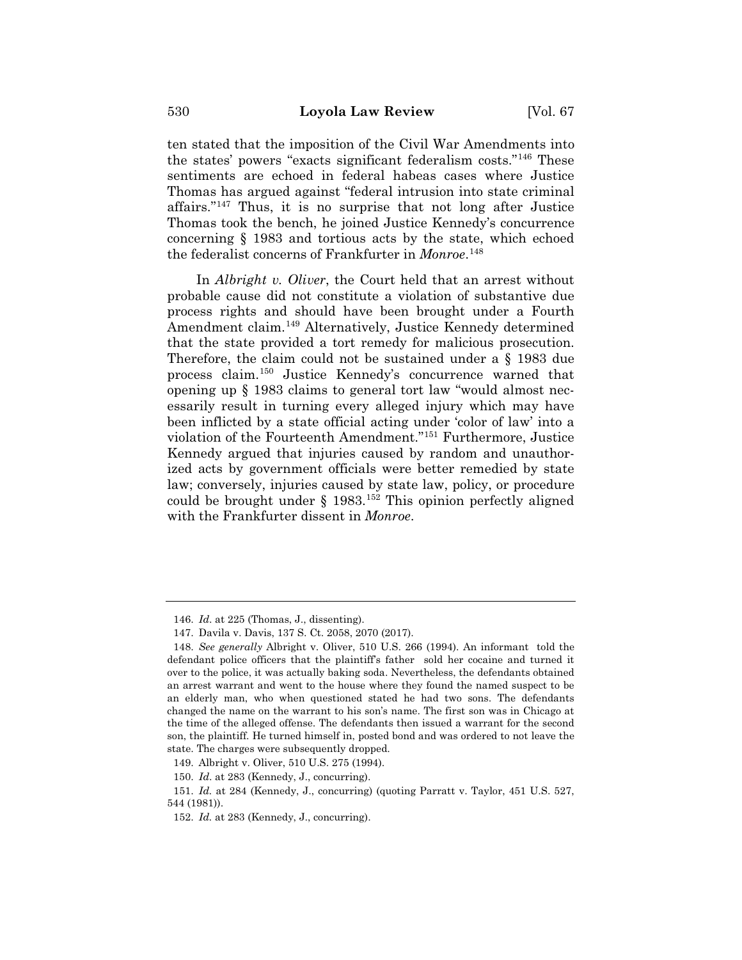ten stated that the imposition of the Civil War Amendments into the states' powers "exacts significant federalism costs."146 These sentiments are echoed in federal habeas cases where Justice Thomas has argued against "federal intrusion into state criminal affairs."147 Thus, it is no surprise that not long after Justice Thomas took the bench, he joined Justice Kennedy's concurrence concerning § 1983 and tortious acts by the state, which echoed the federalist concerns of Frankfurter in *Monroe*. 148

In *Albright v. Oliver*, the Court held that an arrest without probable cause did not constitute a violation of substantive due process rights and should have been brought under a Fourth Amendment claim.<sup>149</sup> Alternatively, Justice Kennedy determined that the state provided a tort remedy for malicious prosecution. Therefore, the claim could not be sustained under a § 1983 due process claim.150 Justice Kennedy's concurrence warned that opening up § 1983 claims to general tort law "would almost necessarily result in turning every alleged injury which may have been inflicted by a state official acting under 'color of law' into a violation of the Fourteenth Amendment."151 Furthermore, Justice Kennedy argued that injuries caused by random and unauthorized acts by government officials were better remedied by state law; conversely, injuries caused by state law, policy, or procedure could be brought under  $\S$  1983.<sup>152</sup> This opinion perfectly aligned with the Frankfurter dissent in *Monroe*.

<sup>146.</sup> *Id*. at 225 (Thomas, J., dissenting).

<sup>147.</sup> Davila v. Davis, 137 S. Ct. 2058, 2070 (2017).

<sup>148.</sup> *See generally* Albright v. Oliver, 510 U.S. 266 (1994). An informant told the defendant police officers that the plaintiff's father sold her cocaine and turned it over to the police, it was actually baking soda. Nevertheless, the defendants obtained an arrest warrant and went to the house where they found the named suspect to be an elderly man, who when questioned stated he had two sons. The defendants changed the name on the warrant to his son's name. The first son was in Chicago at the time of the alleged offense. The defendants then issued a warrant for the second son, the plaintiff. He turned himself in, posted bond and was ordered to not leave the state. The charges were subsequently dropped.

<sup>149.</sup> Albright v. Oliver, 510 U.S. 275 (1994).

<sup>150.</sup> *Id*. at 283 (Kennedy, J., concurring).

<sup>151.</sup> *Id.* at 284 (Kennedy, J., concurring) (quoting Parratt v. Taylor, 451 U.S. 527, 544 (1981)).

<sup>152.</sup> *Id.* at 283 (Kennedy, J., concurring).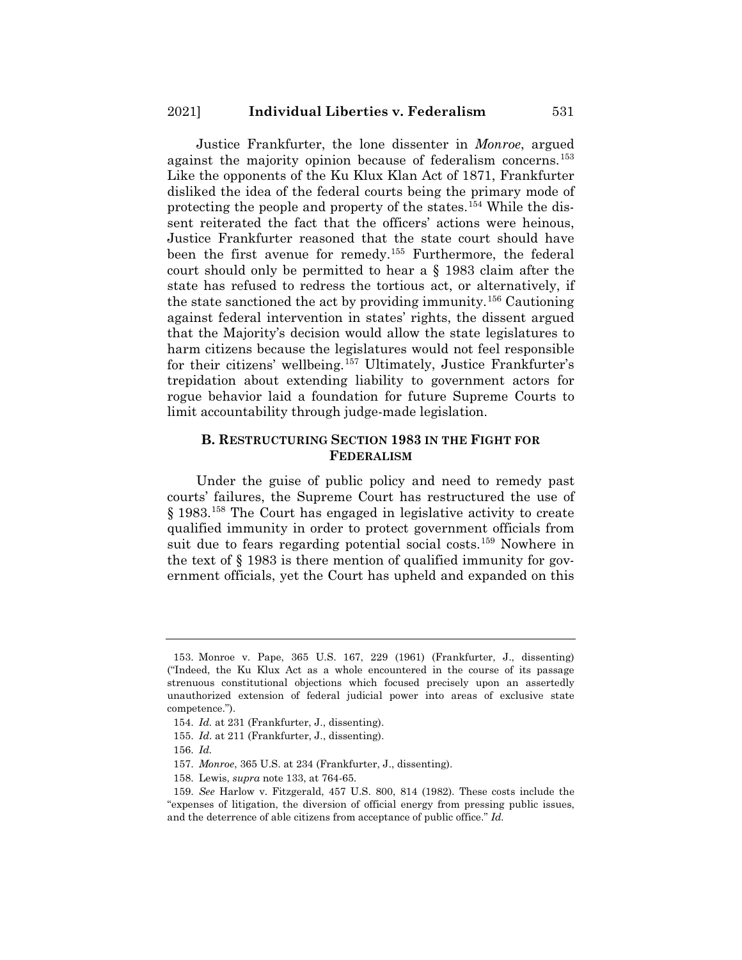Justice Frankfurter, the lone dissenter in *Monroe*, argued against the majority opinion because of federalism concerns.<sup>153</sup> Like the opponents of the Ku Klux Klan Act of 1871, Frankfurter disliked the idea of the federal courts being the primary mode of protecting the people and property of the states.154 While the dissent reiterated the fact that the officers' actions were heinous, Justice Frankfurter reasoned that the state court should have been the first avenue for remedy.155 Furthermore, the federal court should only be permitted to hear a § 1983 claim after the state has refused to redress the tortious act, or alternatively, if the state sanctioned the act by providing immunity.156 Cautioning against federal intervention in states' rights, the dissent argued that the Majority's decision would allow the state legislatures to harm citizens because the legislatures would not feel responsible for their citizens' wellbeing.157 Ultimately, Justice Frankfurter's trepidation about extending liability to government actors for rogue behavior laid a foundation for future Supreme Courts to limit accountability through judge-made legislation.

## **B. RESTRUCTURING SECTION 1983 IN THE FIGHT FOR FEDERALISM**

Under the guise of public policy and need to remedy past courts' failures, the Supreme Court has restructured the use of § 1983.158 The Court has engaged in legislative activity to create qualified immunity in order to protect government officials from suit due to fears regarding potential social costs.<sup>159</sup> Nowhere in the text of § 1983 is there mention of qualified immunity for government officials, yet the Court has upheld and expanded on this

155. *Id*. at 211 (Frankfurter, J., dissenting).

<sup>153.</sup> Monroe v. Pape, 365 U.S. 167, 229 (1961) (Frankfurter, J., dissenting) ("Indeed, the Ku Klux Act as a whole encountered in the course of its passage strenuous constitutional objections which focused precisely upon an assertedly unauthorized extension of federal judicial power into areas of exclusive state competence.").

<sup>154.</sup> *Id.* at 231 (Frankfurter, J., dissenting).

<sup>156.</sup> *Id.*

<sup>157.</sup> *Monroe*, 365 U.S. at 234 (Frankfurter, J., dissenting).

<sup>158.</sup> Lewis, *supra* note 133, at 764-65.

<sup>159.</sup> *See* Harlow v. Fitzgerald, 457 U.S. 800, 814 (1982). These costs include the "expenses of litigation, the diversion of official energy from pressing public issues, and the deterrence of able citizens from acceptance of public office." *Id.*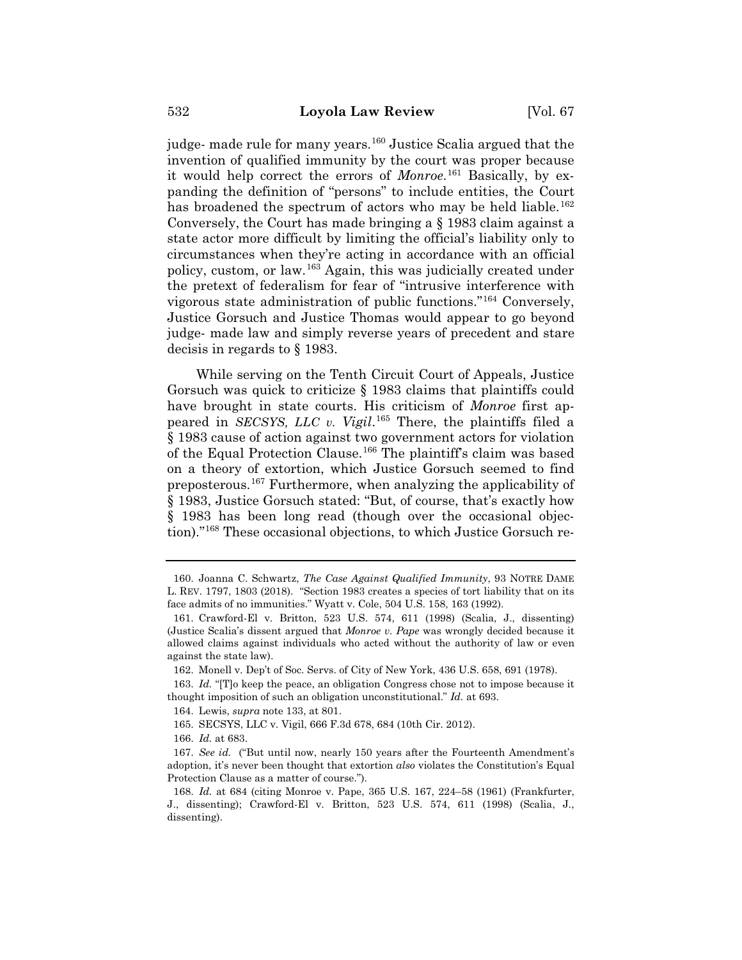judge- made rule for many years.<sup>160</sup> Justice Scalia argued that the invention of qualified immunity by the court was proper because it would help correct the errors of *Monroe*. <sup>161</sup> Basically, by expanding the definition of "persons" to include entities, the Court has broadened the spectrum of actors who may be held liable.<sup>162</sup> Conversely, the Court has made bringing a § 1983 claim against a state actor more difficult by limiting the official's liability only to circumstances when they're acting in accordance with an official policy, custom, or law.163 Again, this was judicially created under the pretext of federalism for fear of "intrusive interference with vigorous state administration of public functions."164 Conversely, Justice Gorsuch and Justice Thomas would appear to go beyond judge- made law and simply reverse years of precedent and stare decisis in regards to § 1983.

While serving on the Tenth Circuit Court of Appeals, Justice Gorsuch was quick to criticize § 1983 claims that plaintiffs could have brought in state courts. His criticism of *Monroe* first appeared in *SECSYS, LLC v. Vigil*. <sup>165</sup> There, the plaintiffs filed a § 1983 cause of action against two government actors for violation of the Equal Protection Clause.166 The plaintiff's claim was based on a theory of extortion, which Justice Gorsuch seemed to find preposterous.167 Furthermore, when analyzing the applicability of § 1983, Justice Gorsuch stated: "But, of course, that's exactly how § 1983 has been long read (though over the occasional objection)."168 These occasional objections, to which Justice Gorsuch re-

165. SECSYS, LLC v. Vigil, 666 F.3d 678, 684 (10th Cir. 2012).

<sup>160.</sup> Joanna C. Schwartz, *The Case Against Qualified Immunity*, 93 NOTRE DAME L. REV. 1797, 1803 (2018). "Section 1983 creates a species of tort liability that on its face admits of no immunities." Wyatt v. Cole, 504 U.S. 158, 163 (1992).

<sup>161.</sup> Crawford-El v. Britton, 523 U.S. 574, 611 (1998) (Scalia, J., dissenting) (Justice Scalia's dissent argued that *Monroe v. Pape* was wrongly decided because it allowed claims against individuals who acted without the authority of law or even against the state law).

<sup>162.</sup> Monell v. Dep't of Soc. Servs. of City of New York, 436 U.S. 658, 691 (1978).

<sup>163.</sup> *Id.* "[T]o keep the peace, an obligation Congress chose not to impose because it thought imposition of such an obligation unconstitutional." *Id.* at 693.

<sup>164.</sup> Lewis, *supra* note 133, at 801.

<sup>166.</sup> *Id.* at 683.

<sup>167.</sup> *See id.* ("But until now, nearly 150 years after the Fourteenth Amendment's adoption, it's never been thought that extortion *also* violates the Constitution's Equal Protection Clause as a matter of course.").

<sup>168.</sup> *Id.* at 684 (citing Monroe v. Pape, 365 U.S. 167, 224–58 (1961) (Frankfurter, J., dissenting); Crawford-El v. Britton, 523 U.S. 574, 611 (1998) (Scalia, J., dissenting).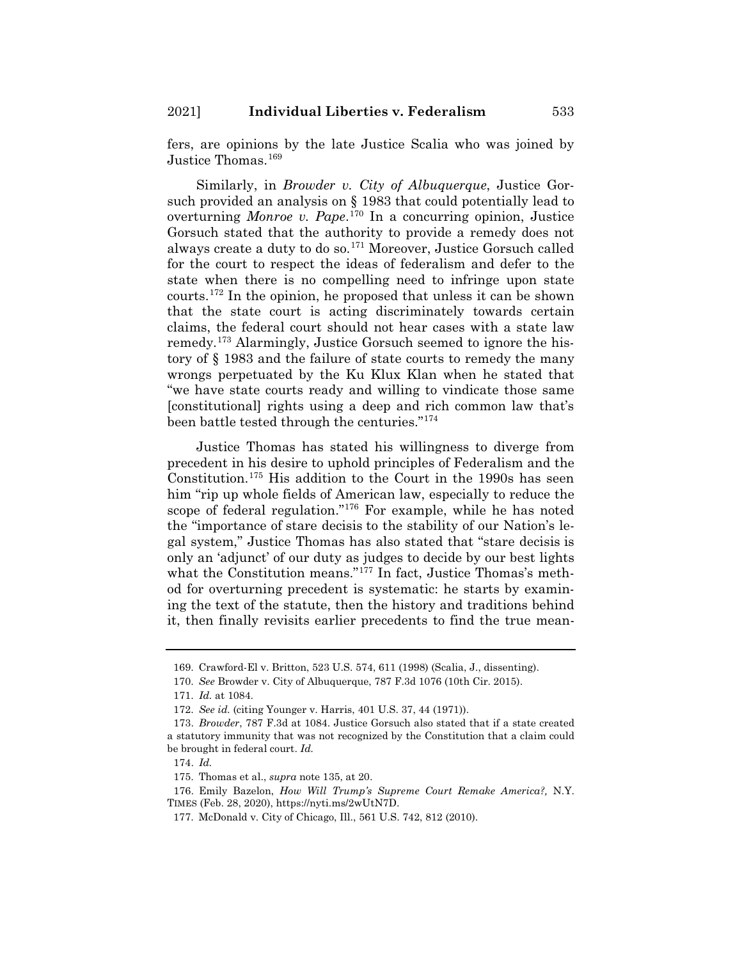fers, are opinions by the late Justice Scalia who was joined by Justice Thomas.<sup>169</sup>

Similarly, in *Browder v. City of Albuquerque*, Justice Gorsuch provided an analysis on § 1983 that could potentially lead to overturning *Monroe v. Pape*. <sup>170</sup> In a concurring opinion, Justice Gorsuch stated that the authority to provide a remedy does not always create a duty to do so.171 Moreover, Justice Gorsuch called for the court to respect the ideas of federalism and defer to the state when there is no compelling need to infringe upon state courts.172 In the opinion, he proposed that unless it can be shown that the state court is acting discriminately towards certain claims, the federal court should not hear cases with a state law remedy.173 Alarmingly, Justice Gorsuch seemed to ignore the history of § 1983 and the failure of state courts to remedy the many wrongs perpetuated by the Ku Klux Klan when he stated that "we have state courts ready and willing to vindicate those same [constitutional] rights using a deep and rich common law that's been battle tested through the centuries."174

Justice Thomas has stated his willingness to diverge from precedent in his desire to uphold principles of Federalism and the Constitution.175 His addition to the Court in the 1990s has seen him "rip up whole fields of American law, especially to reduce the scope of federal regulation."176 For example, while he has noted the "importance of stare decisis to the stability of our Nation's legal system," Justice Thomas has also stated that "stare decisis is only an 'adjunct' of our duty as judges to decide by our best lights what the Constitution means."<sup>177</sup> In fact, Justice Thomas's method for overturning precedent is systematic: he starts by examining the text of the statute, then the history and traditions behind it, then finally revisits earlier precedents to find the true mean-

<sup>169.</sup> Crawford-El v. Britton, 523 U.S. 574, 611 (1998) (Scalia, J., dissenting).

<sup>170.</sup> *See* Browder v. City of Albuquerque, 787 F.3d 1076 (10th Cir. 2015).

<sup>171.</sup> *Id.* at 1084.

<sup>172.</sup> *See id.* (citing Younger v. Harris, 401 U.S. 37, 44 (1971)).

<sup>173.</sup> *Browder*, 787 F.3d at 1084. Justice Gorsuch also stated that if a state created a statutory immunity that was not recognized by the Constitution that a claim could be brought in federal court. *Id.*

<sup>174.</sup> *Id.*

<sup>175.</sup> Thomas et al., *supra* note 135, at 20.

<sup>176.</sup> Emily Bazelon, *How Will Trump's Supreme Court Remake America?,* N.Y. TIMES (Feb. 28, 2020), https://nyti.ms/2wUtN7D.

<sup>177.</sup> McDonald v. City of Chicago, Ill., 561 U.S. 742, 812 (2010).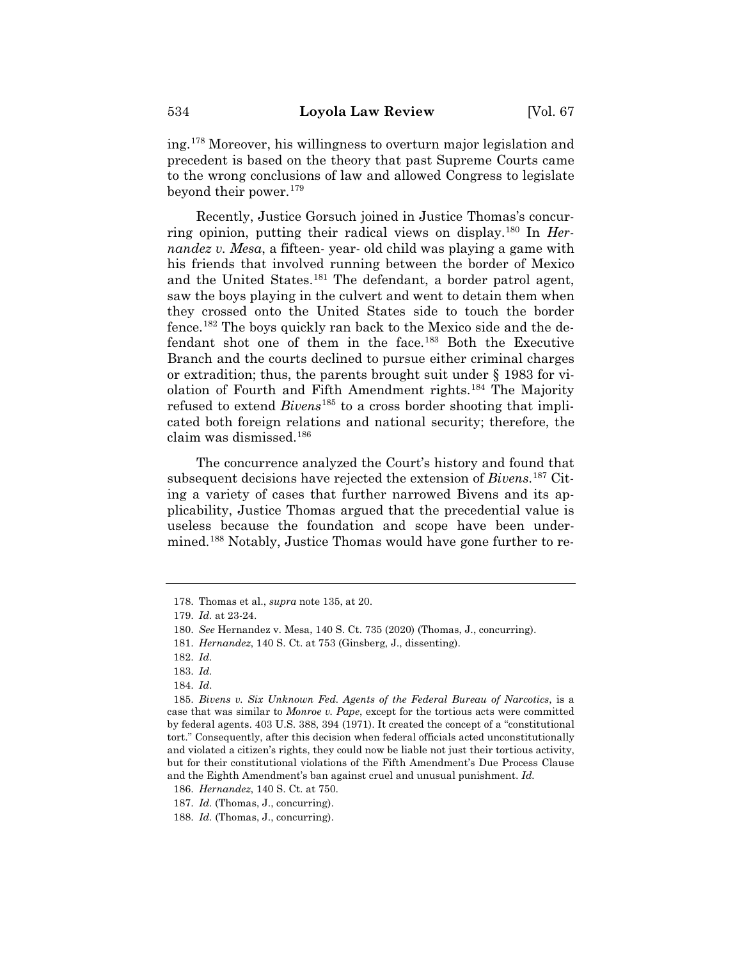ing.178 Moreover, his willingness to overturn major legislation and precedent is based on the theory that past Supreme Courts came to the wrong conclusions of law and allowed Congress to legislate beyond their power.179

Recently, Justice Gorsuch joined in Justice Thomas's concurring opinion, putting their radical views on display.180 In *Hernandez v. Mesa*, a fifteen- year- old child was playing a game with his friends that involved running between the border of Mexico and the United States.<sup>181</sup> The defendant, a border patrol agent, saw the boys playing in the culvert and went to detain them when they crossed onto the United States side to touch the border fence.182 The boys quickly ran back to the Mexico side and the defendant shot one of them in the face.183 Both the Executive Branch and the courts declined to pursue either criminal charges or extradition; thus, the parents brought suit under § 1983 for violation of Fourth and Fifth Amendment rights.184 The Majority refused to extend *Bivens*<sup>185</sup> to a cross border shooting that implicated both foreign relations and national security; therefore, the claim was dismissed.186

The concurrence analyzed the Court's history and found that subsequent decisions have rejected the extension of *Bivens*. <sup>187</sup> Citing a variety of cases that further narrowed Bivens and its applicability, Justice Thomas argued that the precedential value is useless because the foundation and scope have been undermined.<sup>188</sup> Notably, Justice Thomas would have gone further to re-

<sup>178.</sup> Thomas et al., *supra* note 135, at 20.

<sup>179.</sup> *Id.* at 23-24.

<sup>180.</sup> *See* Hernandez v. Mesa, 140 S. Ct. 735 (2020) (Thomas, J., concurring).

<sup>181.</sup> *Hernandez*, 140 S. Ct. at 753 (Ginsberg, J., dissenting).

<sup>182.</sup> *Id.*

<sup>183.</sup> *Id.*

<sup>184.</sup> *Id*.

<sup>185.</sup> *Bivens v. Six Unknown Fed. Agents of the Federal Bureau of Narcotics*, is a case that was similar to *Monroe v. Pape*, except for the tortious acts were committed by federal agents. 403 U.S. 388, 394 (1971). It created the concept of a "constitutional tort." Consequently, after this decision when federal officials acted unconstitutionally and violated a citizen's rights, they could now be liable not just their tortious activity, but for their constitutional violations of the Fifth Amendment's Due Process Clause and the Eighth Amendment's ban against cruel and unusual punishment. *Id.*

<sup>186.</sup> *Hernandez*, 140 S. Ct. at 750.

<sup>187.</sup> *Id.* (Thomas, J., concurring).

<sup>188.</sup> *Id.* (Thomas, J., concurring).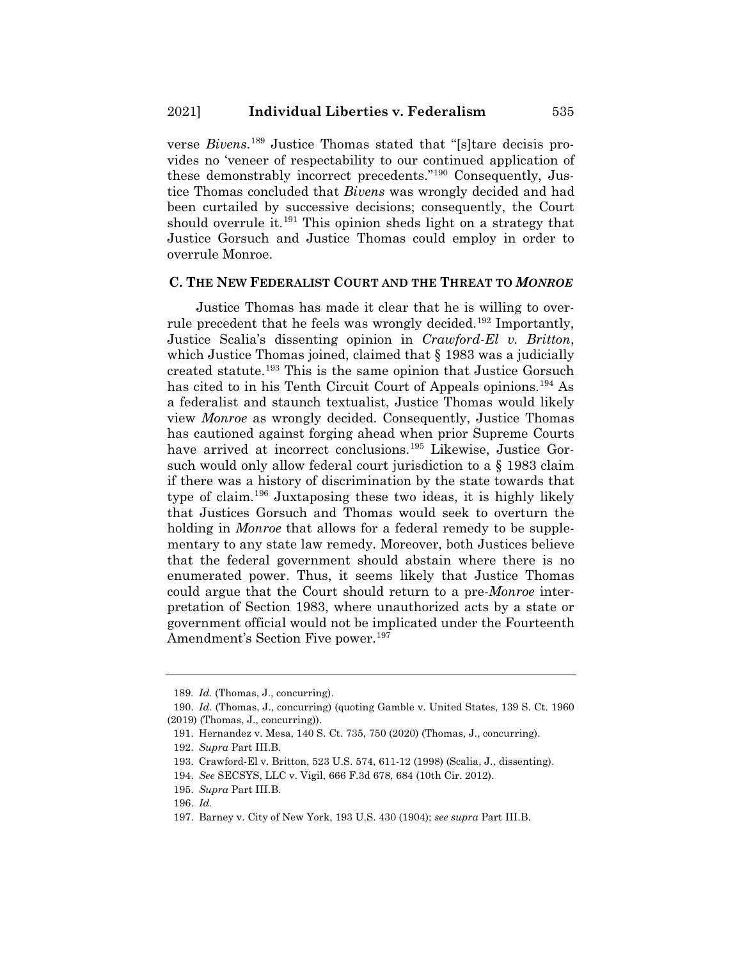verse *Bivens*. <sup>189</sup> Justice Thomas stated that "[s]tare decisis provides no 'veneer of respectability to our continued application of these demonstrably incorrect precedents."190 Consequently, Justice Thomas concluded that *Bivens* was wrongly decided and had been curtailed by successive decisions; consequently, the Court should overrule it.<sup>191</sup> This opinion sheds light on a strategy that Justice Gorsuch and Justice Thomas could employ in order to overrule Monroe.

#### **C. THE NEW FEDERALIST COURT AND THE THREAT TO** *MONROE*

Justice Thomas has made it clear that he is willing to overrule precedent that he feels was wrongly decided.<sup>192</sup> Importantly, Justice Scalia's dissenting opinion in *Crawford-El v. Britton*, which Justice Thomas joined, claimed that  $\S$  1983 was a judicially created statute.193 This is the same opinion that Justice Gorsuch has cited to in his Tenth Circuit Court of Appeals opinions.<sup>194</sup> As a federalist and staunch textualist, Justice Thomas would likely view *Monroe* as wrongly decided. Consequently, Justice Thomas has cautioned against forging ahead when prior Supreme Courts have arrived at incorrect conclusions.<sup>195</sup> Likewise, Justice Gorsuch would only allow federal court jurisdiction to a § 1983 claim if there was a history of discrimination by the state towards that type of claim.196 Juxtaposing these two ideas, it is highly likely that Justices Gorsuch and Thomas would seek to overturn the holding in *Monroe* that allows for a federal remedy to be supplementary to any state law remedy. Moreover, both Justices believe that the federal government should abstain where there is no enumerated power. Thus, it seems likely that Justice Thomas could argue that the Court should return to a pre-*Monroe* interpretation of Section 1983, where unauthorized acts by a state or government official would not be implicated under the Fourteenth Amendment's Section Five power.<sup>197</sup>

<sup>189</sup>*. Id.* (Thomas, J., concurring).

<sup>190.</sup> *Id.* (Thomas, J., concurring) (quoting Gamble v. United States, 139 S. Ct. 1960 (2019) (Thomas, J., concurring)).

<sup>191.</sup> Hernandez v. Mesa, 140 S. Ct. 735, 750 (2020) (Thomas, J., concurring).

<sup>192.</sup> *Supra* Part III.B.

<sup>193.</sup> Crawford-El v. Britton, 523 U.S. 574, 611-12 (1998) (Scalia, J., dissenting).

<sup>194.</sup> *See* SECSYS, LLC v. Vigil, 666 F.3d 678, 684 (10th Cir. 2012).

<sup>195.</sup> *Supra* Part III.B.

<sup>196.</sup> *Id.*

<sup>197.</sup> Barney v. City of New York, 193 U.S. 430 (1904); *see supra* Part III.B.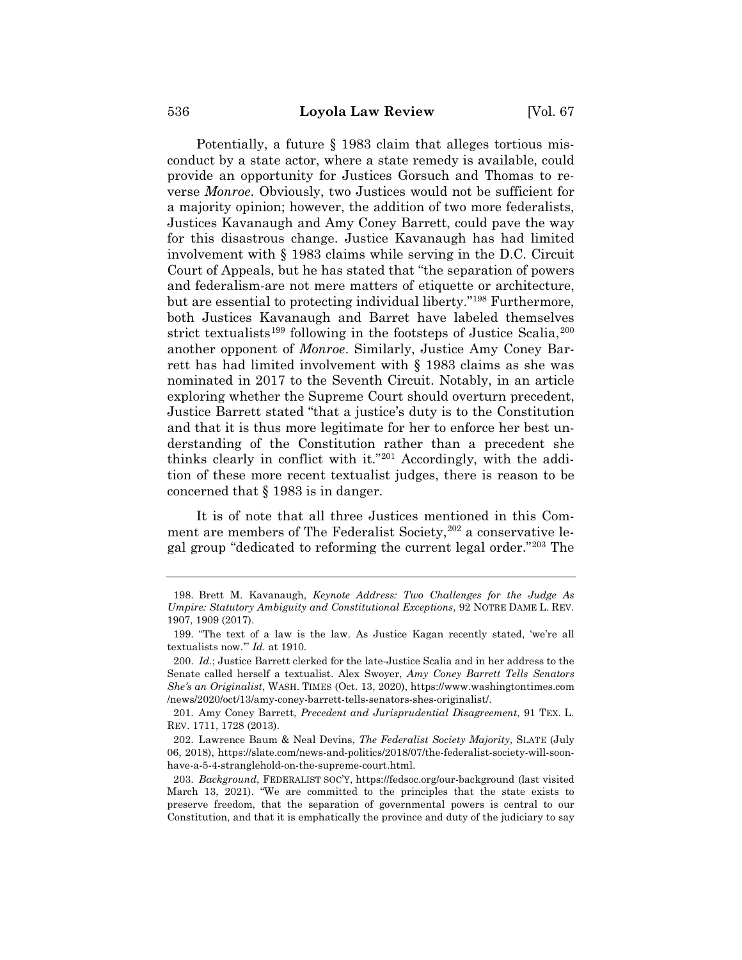Potentially, a future  $\S$  1983 claim that alleges tortious misconduct by a state actor, where a state remedy is available, could provide an opportunity for Justices Gorsuch and Thomas to reverse *Monroe*. Obviously, two Justices would not be sufficient for a majority opinion; however, the addition of two more federalists, Justices Kavanaugh and Amy Coney Barrett, could pave the way for this disastrous change. Justice Kavanaugh has had limited involvement with § 1983 claims while serving in the D.C. Circuit Court of Appeals, but he has stated that "the separation of powers and federalism-are not mere matters of etiquette or architecture, but are essential to protecting individual liberty."198 Furthermore, both Justices Kavanaugh and Barret have labeled themselves strict textualists<sup>199</sup> following in the footsteps of Justice Scalia,  $200$ another opponent of *Monroe*. Similarly, Justice Amy Coney Barrett has had limited involvement with § 1983 claims as she was nominated in 2017 to the Seventh Circuit. Notably, in an article exploring whether the Supreme Court should overturn precedent, Justice Barrett stated "that a justice's duty is to the Constitution and that it is thus more legitimate for her to enforce her best understanding of the Constitution rather than a precedent she thinks clearly in conflict with it."201 Accordingly, with the addition of these more recent textualist judges, there is reason to be concerned that § 1983 is in danger.

It is of note that all three Justices mentioned in this Comment are members of The Federalist Society,<sup>202</sup> a conservative legal group "dedicated to reforming the current legal order."203 The

<sup>198.</sup> Brett M. Kavanaugh, *Keynote Address: Two Challenges for the Judge As Umpire: Statutory Ambiguity and Constitutional Exceptions*, 92 NOTRE DAME L. REV. 1907, 1909 (2017).

<sup>199. &</sup>quot;The text of a law is the law. As Justice Kagan recently stated, 'we're all textualists now.'" *Id.* at 1910.

<sup>200.</sup> *Id.*; Justice Barrett clerked for the late-Justice Scalia and in her address to the Senate called herself a textualist. Alex Swoyer, *Amy Coney Barrett Tells Senators She's an Originalist*, WASH. TIMES (Oct. 13, 2020), https://www.washingtontimes.com /news/2020/oct/13/amy-coney-barrett-tells-senators-shes-originalist/.

<sup>201.</sup> Amy Coney Barrett, *Precedent and Jurisprudential Disagreement*, 91 TEX. L. REV. 1711, 1728 (2013).

<sup>202.</sup> Lawrence Baum & Neal Devins, *The Federalist Society Majority*, SLATE (July 06, 2018), https://slate.com/news-and-politics/2018/07/the-federalist-society-will-soonhave-a-5-4-stranglehold-on-the-supreme-court.html.

<sup>203.</sup> *Background*, FEDERALIST SOC'Y, https://fedsoc.org/our-background (last visited March 13, 2021). "We are committed to the principles that the state exists to preserve freedom, that the separation of governmental powers is central to our Constitution, and that it is emphatically the province and duty of the judiciary to say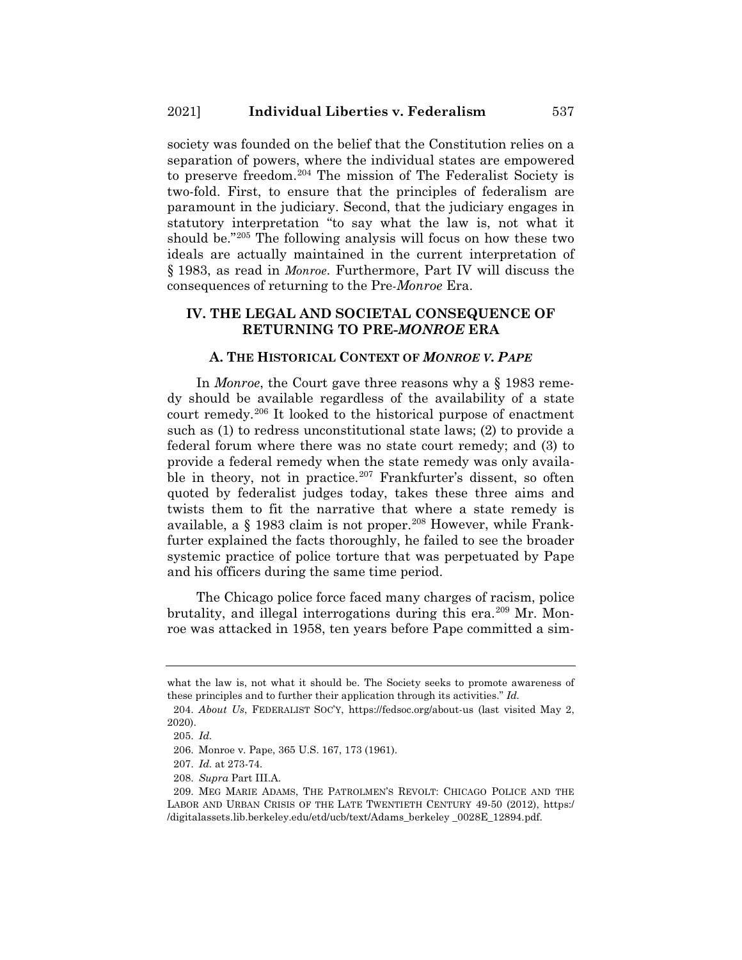society was founded on the belief that the Constitution relies on a separation of powers, where the individual states are empowered to preserve freedom.204 The mission of The Federalist Society is two-fold. First, to ensure that the principles of federalism are paramount in the judiciary. Second, that the judiciary engages in statutory interpretation "to say what the law is, not what it should be."205 The following analysis will focus on how these two ideals are actually maintained in the current interpretation of § 1983, as read in *Monroe*. Furthermore, Part IV will discuss the consequences of returning to the Pre*-Monroe* Era.

## **IV. THE LEGAL AND SOCIETAL CONSEQUENCE OF RETURNING TO PRE-***MONROE* **ERA**

#### **A. THE HISTORICAL CONTEXT OF** *MONROE V. PAPE*

In *Monroe*, the Court gave three reasons why a § 1983 remedy should be available regardless of the availability of a state court remedy.206 It looked to the historical purpose of enactment such as (1) to redress unconstitutional state laws; (2) to provide a federal forum where there was no state court remedy; and (3) to provide a federal remedy when the state remedy was only available in theory, not in practice.<sup>207</sup> Frankfurter's dissent, so often quoted by federalist judges today, takes these three aims and twists them to fit the narrative that where a state remedy is available, a § 1983 claim is not proper.208 However, while Frankfurter explained the facts thoroughly, he failed to see the broader systemic practice of police torture that was perpetuated by Pape and his officers during the same time period.

The Chicago police force faced many charges of racism, police brutality, and illegal interrogations during this era.<sup>209</sup> Mr. Monroe was attacked in 1958, ten years before Pape committed a sim-

what the law is, not what it should be. The Society seeks to promote awareness of these principles and to further their application through its activities." *Id.*

<sup>204.</sup> *About Us*, FEDERALIST SOC'Y, https://fedsoc.org/about-us (last visited May 2, 2020).

<sup>205.</sup> *Id.*

<sup>206.</sup> Monroe v. Pape, 365 U.S. 167, 173 (1961).

<sup>207.</sup> *Id.* at 273-74.

<sup>208.</sup> *Supra* Part III.A.

<sup>209.</sup> MEG MARIE ADAMS, THE PATROLMEN'S REVOLT: CHICAGO POLICE AND THE LABOR AND URBAN CRISIS OF THE LATE TWENTIETH CENTURY 49-50 (2012), https:/ /digitalassets.lib.berkeley.edu/etd/ucb/text/Adams\_berkeley \_0028E\_12894.pdf.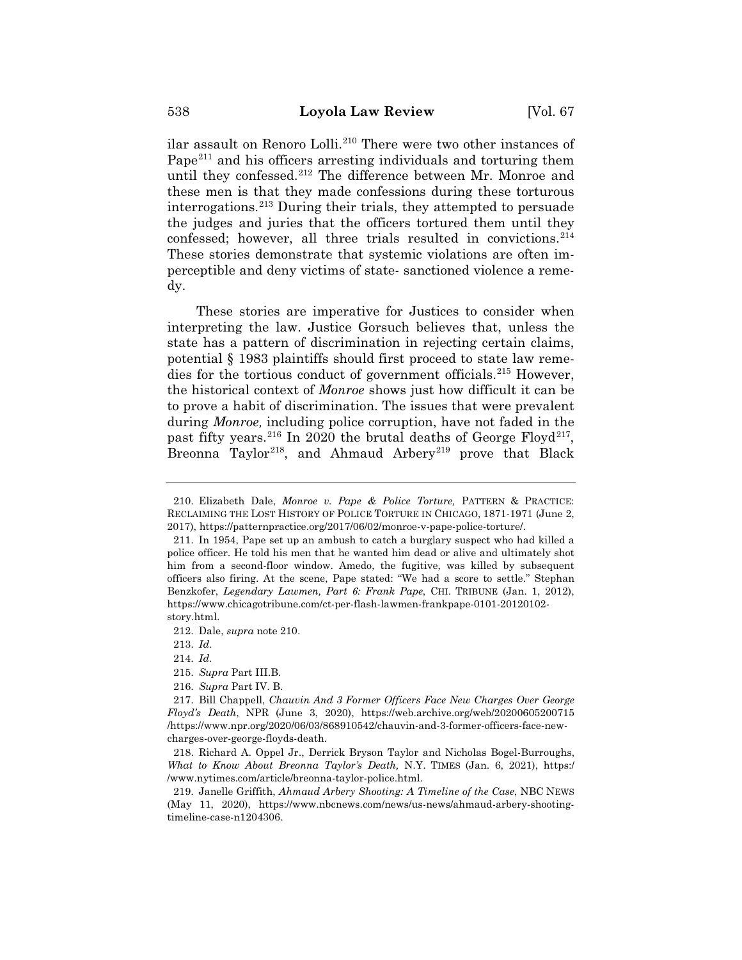ilar assault on Renoro Lolli.<sup>210</sup> There were two other instances of Pape<sup>211</sup> and his officers arresting individuals and torturing them until they confessed.212 The difference between Mr. Monroe and these men is that they made confessions during these torturous interrogations.213 During their trials, they attempted to persuade the judges and juries that the officers tortured them until they confessed; however, all three trials resulted in convictions.<sup>214</sup> These stories demonstrate that systemic violations are often imperceptible and deny victims of state- sanctioned violence a remedy.

These stories are imperative for Justices to consider when interpreting the law. Justice Gorsuch believes that, unless the state has a pattern of discrimination in rejecting certain claims, potential § 1983 plaintiffs should first proceed to state law remedies for the tortious conduct of government officials.215 However, the historical context of *Monroe* shows just how difficult it can be to prove a habit of discrimination. The issues that were prevalent during *Monroe,* including police corruption, have not faded in the past fifty years.<sup>216</sup> In 2020 the brutal deaths of George Floyd<sup>217</sup>, Breonna Taylor<sup>218</sup>, and Ahmaud Arbery<sup>219</sup> prove that Black

214. *Id.*

216. *Supra* Part IV. B.

<sup>210.</sup> Elizabeth Dale, *Monroe v. Pape & Police Torture,* PATTERN & PRACTICE: RECLAIMING THE LOST HISTORY OF POLICE TORTURE IN CHICAGO, 1871-1971 (June 2, 2017), https://patternpractice.org/2017/06/02/monroe-v-pape-police-torture/.

<sup>211.</sup> In 1954, Pape set up an ambush to catch a burglary suspect who had killed a police officer. He told his men that he wanted him dead or alive and ultimately shot him from a second-floor window. Amedo, the fugitive, was killed by subsequent officers also firing. At the scene, Pape stated: "We had a score to settle." Stephan Benzkofer, *Legendary Lawmen, Part 6: Frank Pape*, CHI. TRIBUNE (Jan. 1, 2012), https://www.chicagotribune.com/ct-per-flash-lawmen-frankpape-0101-20120102 story.html.

<sup>212.</sup> Dale, *supra* note 210.

<sup>213.</sup> *Id.*

<sup>215.</sup> *Supra* Part III.B.

<sup>217.</sup> Bill Chappell, *Chauvin And 3 Former Officers Face New Charges Over George Floyd's Death*, NPR (June 3, 2020), https://web.archive.org/web/20200605200715 /https://www.npr.org/2020/06/03/868910542/chauvin-and-3-former-officers-face-newcharges-over-george-floyds-death.

<sup>218.</sup> Richard A. Oppel Jr., Derrick Bryson Taylor and Nicholas Bogel-Burroughs, *What to Know About Breonna Taylor's Death,* N.Y. TIMES (Jan. 6, 2021), https:/ /www.nytimes.com/article/breonna-taylor-police.html.

<sup>219.</sup> Janelle Griffith, *Ahmaud Arbery Shooting: A Timeline of the Case*, NBC NEWS (May 11, 2020), https://www.nbcnews.com/news/us-news/ahmaud-arbery-shootingtimeline-case-n1204306.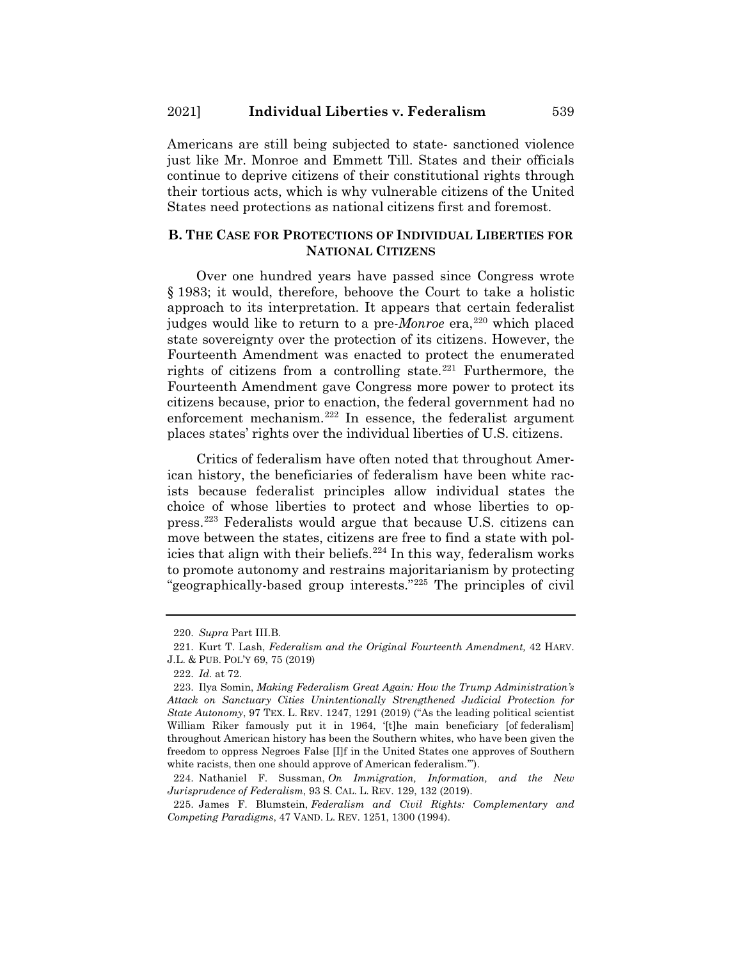Americans are still being subjected to state- sanctioned violence just like Mr. Monroe and Emmett Till. States and their officials continue to deprive citizens of their constitutional rights through their tortious acts, which is why vulnerable citizens of the United States need protections as national citizens first and foremost.

# **B. THE CASE FOR PROTECTIONS OF INDIVIDUAL LIBERTIES FOR NATIONAL CITIZENS**

Over one hundred years have passed since Congress wrote § 1983; it would, therefore, behoove the Court to take a holistic approach to its interpretation. It appears that certain federalist judges would like to return to a pre-*Monroe* era,<sup>220</sup> which placed state sovereignty over the protection of its citizens. However, the Fourteenth Amendment was enacted to protect the enumerated rights of citizens from a controlling state.<sup>221</sup> Furthermore, the Fourteenth Amendment gave Congress more power to protect its citizens because, prior to enaction, the federal government had no enforcement mechanism.222 In essence, the federalist argument places states' rights over the individual liberties of U.S. citizens.

Critics of federalism have often noted that throughout American history, the beneficiaries of federalism have been white racists because federalist principles allow individual states the choice of whose liberties to protect and whose liberties to oppress.223 Federalists would argue that because U.S. citizens can move between the states, citizens are free to find a state with policies that align with their beliefs.<sup>224</sup> In this way, federalism works to promote autonomy and restrains majoritarianism by protecting "geographically-based group interests."225 The principles of civil

<sup>220.</sup> *Supra* Part III.B.

<sup>221.</sup> Kurt T. Lash, *Federalism and the Original Fourteenth Amendment,* 42 HARV. J.L. & PUB. POL'Y 69, 75 (2019)

<sup>222.</sup> *Id.* at 72.

<sup>223.</sup> Ilya Somin, *Making Federalism Great Again: How the Trump Administration's Attack on Sanctuary Cities Unintentionally Strengthened Judicial Protection for State Autonomy*, 97 TEX. L. REV. 1247, 1291 (2019) ("As the leading political scientist William Riker famously put it in 1964, '[t]he main beneficiary [of federalism] throughout American history has been the Southern whites, who have been given the freedom to oppress Negroes False [I]f in the United States one approves of Southern white racists, then one should approve of American federalism.'").

<sup>224.</sup> Nathaniel F. Sussman, *On Immigration, Information, and the New Jurisprudence of Federalism*, 93 S. CAL. L. REV. 129, 132 (2019).

<sup>225.</sup> James F. Blumstein, *Federalism and Civil Rights: Complementary and Competing Paradigms*, 47 VAND. L. REV. 1251, 1300 (1994).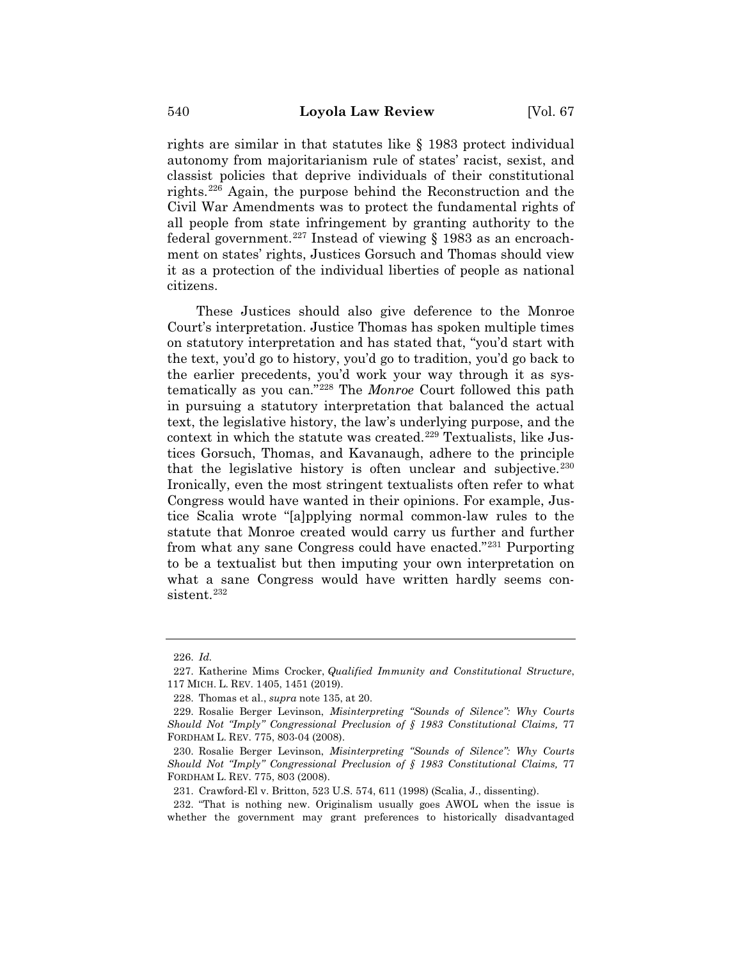rights are similar in that statutes like § 1983 protect individual autonomy from majoritarianism rule of states' racist, sexist, and classist policies that deprive individuals of their constitutional rights.226 Again, the purpose behind the Reconstruction and the Civil War Amendments was to protect the fundamental rights of all people from state infringement by granting authority to the federal government.<sup>227</sup> Instead of viewing  $\S$  1983 as an encroachment on states' rights, Justices Gorsuch and Thomas should view it as a protection of the individual liberties of people as national citizens.

These Justices should also give deference to the Monroe Court's interpretation. Justice Thomas has spoken multiple times on statutory interpretation and has stated that, "you'd start with the text, you'd go to history, you'd go to tradition, you'd go back to the earlier precedents, you'd work your way through it as systematically as you can."228 The *Monroe* Court followed this path in pursuing a statutory interpretation that balanced the actual text, the legislative history, the law's underlying purpose, and the context in which the statute was created.<sup>229</sup> Textualists, like Justices Gorsuch, Thomas, and Kavanaugh, adhere to the principle that the legislative history is often unclear and subjective.  $230$ Ironically, even the most stringent textualists often refer to what Congress would have wanted in their opinions. For example, Justice Scalia wrote "[a]pplying normal common-law rules to the statute that Monroe created would carry us further and further from what any sane Congress could have enacted."231 Purporting to be a textualist but then imputing your own interpretation on what a sane Congress would have written hardly seems consistent.<sup>232</sup>

<sup>226.</sup> *Id.*

<sup>227.</sup> Katherine Mims Crocker, *Qualified Immunity and Constitutional Structure*, 117 MICH. L. REV. 1405, 1451 (2019).

<sup>228.</sup> Thomas et al., *supra* note 135, at 20.

<sup>229.</sup> Rosalie Berger Levinson, *Misinterpreting "Sounds of Silence": Why Courts Should Not "Imply" Congressional Preclusion of § 1983 Constitutional Claims,* 77 FORDHAM L. REV. 775, 803-04 (2008).

<sup>230.</sup> Rosalie Berger Levinson, *Misinterpreting "Sounds of Silence": Why Courts Should Not "Imply" Congressional Preclusion of § 1983 Constitutional Claims,* 77 FORDHAM L. REV. 775, 803 (2008).

<sup>231.</sup> Crawford-El v. Britton, 523 U.S. 574, 611 (1998) (Scalia, J., dissenting).

<sup>232. &</sup>quot;That is nothing new. Originalism usually goes AWOL when the issue is whether the government may grant preferences to historically disadvantaged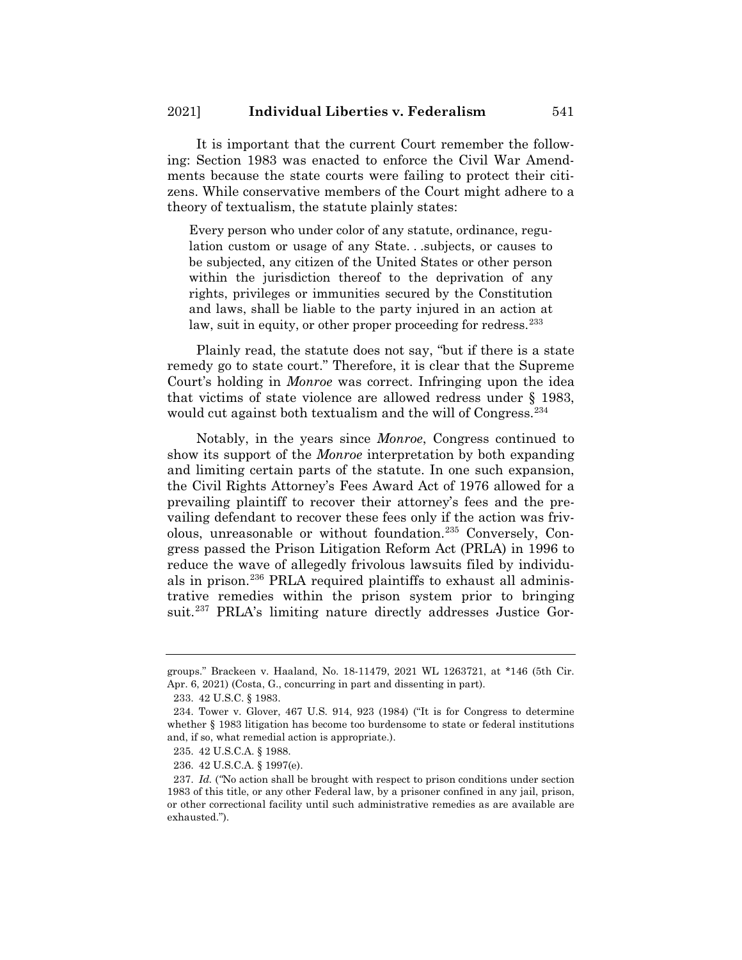It is important that the current Court remember the following: Section 1983 was enacted to enforce the Civil War Amendments because the state courts were failing to protect their citizens. While conservative members of the Court might adhere to a theory of textualism, the statute plainly states:

Every person who under color of any statute, ordinance, regulation custom or usage of any State. . .subjects, or causes to be subjected, any citizen of the United States or other person within the jurisdiction thereof to the deprivation of any rights, privileges or immunities secured by the Constitution and laws, shall be liable to the party injured in an action at law, suit in equity, or other proper proceeding for redress.<sup>233</sup>

Plainly read, the statute does not say, "but if there is a state remedy go to state court." Therefore, it is clear that the Supreme Court's holding in *Monroe* was correct. Infringing upon the idea that victims of state violence are allowed redress under § 1983, would cut against both textualism and the will of Congress.<sup>234</sup>

Notably, in the years since *Monroe*, Congress continued to show its support of the *Monroe* interpretation by both expanding and limiting certain parts of the statute. In one such expansion, the Civil Rights Attorney's Fees Award Act of 1976 allowed for a prevailing plaintiff to recover their attorney's fees and the prevailing defendant to recover these fees only if the action was frivolous, unreasonable or without foundation.235 Conversely, Congress passed the Prison Litigation Reform Act (PRLA) in 1996 to reduce the wave of allegedly frivolous lawsuits filed by individuals in prison.<sup>236</sup> PRLA required plaintiffs to exhaust all administrative remedies within the prison system prior to bringing suit.<sup>237</sup> PRLA's limiting nature directly addresses Justice Gor-

groups." Brackeen v. Haaland, No. 18-11479, 2021 WL 1263721, at \*146 (5th Cir. Apr. 6, 2021) (Costa, G., concurring in part and dissenting in part).

<sup>233. 42</sup> U.S.C. § 1983.

<sup>234.</sup> Tower v. Glover, 467 U.S. 914, 923 (1984) ("It is for Congress to determine whether § 1983 litigation has become too burdensome to state or federal institutions and, if so, what remedial action is appropriate.).

<sup>235. 42</sup> U.S.C.A. § 1988.

<sup>236. 42</sup> U.S.C.A. § 1997(e).

<sup>237.</sup> *Id.* (*"*No action shall be brought with respect to prison conditions under section 1983 of this title, or any other Federal law, by a prisoner confined in any jail, prison, or other correctional facility until such administrative remedies as are available are exhausted.").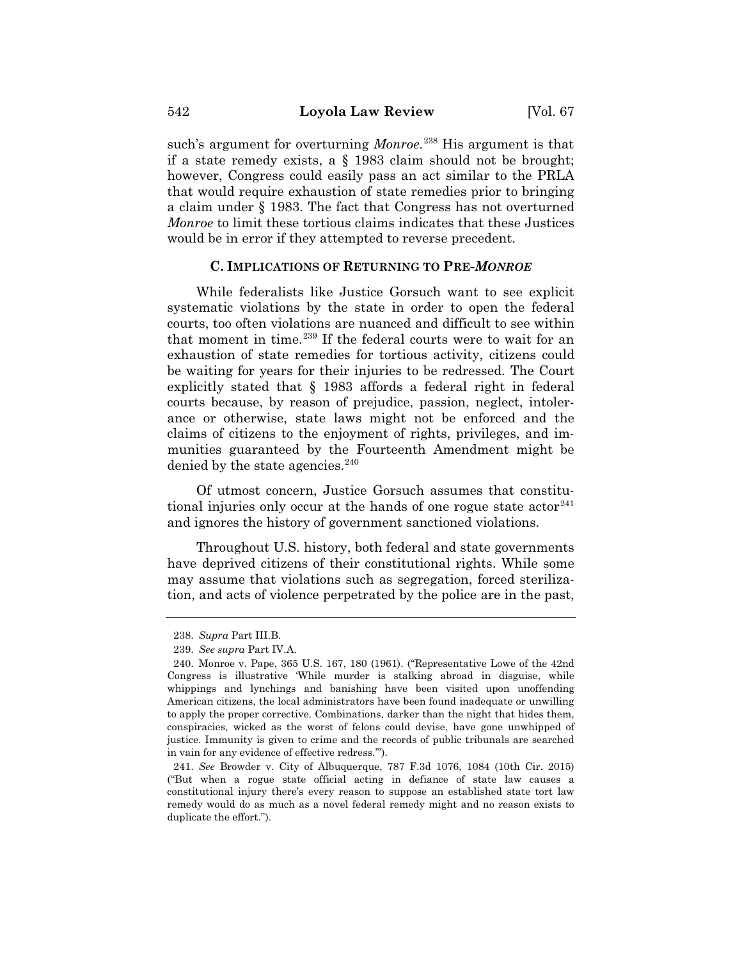such's argument for overturning *Monroe*. <sup>238</sup> His argument is that if a state remedy exists, a § 1983 claim should not be brought; however, Congress could easily pass an act similar to the PRLA that would require exhaustion of state remedies prior to bringing a claim under § 1983. The fact that Congress has not overturned *Monroe* to limit these tortious claims indicates that these Justices would be in error if they attempted to reverse precedent.

## **C. IMPLICATIONS OF RETURNING TO PRE-***MONROE*

While federalists like Justice Gorsuch want to see explicit systematic violations by the state in order to open the federal courts, too often violations are nuanced and difficult to see within that moment in time.<sup>239</sup> If the federal courts were to wait for an exhaustion of state remedies for tortious activity, citizens could be waiting for years for their injuries to be redressed. The Court explicitly stated that § 1983 affords a federal right in federal courts because, by reason of prejudice, passion, neglect, intolerance or otherwise, state laws might not be enforced and the claims of citizens to the enjoyment of rights, privileges, and immunities guaranteed by the Fourteenth Amendment might be denied by the state agencies.  $240$ 

Of utmost concern, Justice Gorsuch assumes that constitutional injuries only occur at the hands of one rogue state  $actor<sup>241</sup>$ and ignores the history of government sanctioned violations.

Throughout U.S. history, both federal and state governments have deprived citizens of their constitutional rights. While some may assume that violations such as segregation, forced sterilization, and acts of violence perpetrated by the police are in the past,

<sup>238.</sup> *Supra* Part III.B.

<sup>239.</sup> *See supra* Part IV.A.

<sup>240.</sup> Monroe v. Pape, 365 U.S. 167, 180 (1961). ("Representative Lowe of the 42nd Congress is illustrative 'While murder is stalking abroad in disguise, while whippings and lynchings and banishing have been visited upon unoffending American citizens, the local administrators have been found inadequate or unwilling to apply the proper corrective. Combinations, darker than the night that hides them, conspiracies, wicked as the worst of felons could devise, have gone unwhipped of justice. Immunity is given to crime and the records of public tribunals are searched in vain for any evidence of effective redress.'").

<sup>241.</sup> *See* Browder v. City of Albuquerque, 787 F.3d 1076, 1084 (10th Cir. 2015) ("But when a rogue state official acting in defiance of state law causes a constitutional injury there's every reason to suppose an established state tort law remedy would do as much as a novel federal remedy might and no reason exists to duplicate the effort.").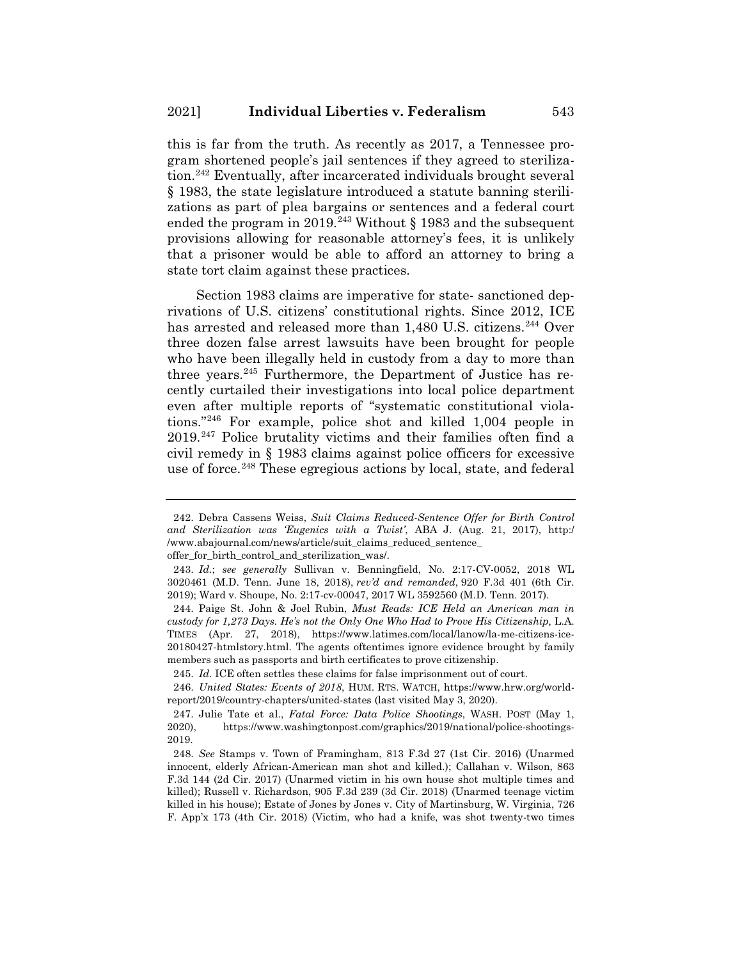this is far from the truth. As recently as 2017, a Tennessee program shortened people's jail sentences if they agreed to sterilization.<sup>242</sup> Eventually, after incarcerated individuals brought several § 1983, the state legislature introduced a statute banning sterilizations as part of plea bargains or sentences and a federal court ended the program in 2019.<sup>243</sup> Without § 1983 and the subsequent provisions allowing for reasonable attorney's fees, it is unlikely that a prisoner would be able to afford an attorney to bring a state tort claim against these practices.

Section 1983 claims are imperative for state- sanctioned deprivations of U.S. citizens' constitutional rights. Since 2012, ICE has arrested and released more than 1,480 U.S. citizens.<sup>244</sup> Over three dozen false arrest lawsuits have been brought for people who have been illegally held in custody from a day to more than three years.<sup>245</sup> Furthermore, the Department of Justice has recently curtailed their investigations into local police department even after multiple reports of "systematic constitutional violations."246 For example, police shot and killed 1,004 people in 2019.247 Police brutality victims and their families often find a civil remedy in § 1983 claims against police officers for excessive use of force.<sup>248</sup> These egregious actions by local, state, and federal

<sup>242.</sup> Debra Cassens Weiss, *Suit Claims Reduced-Sentence Offer for Birth Control and Sterilization was 'Eugenics with a Twist'*, ABA J. (Aug. 21, 2017), http:/ /www.abajournal.com/news/article/suit\_claims\_reduced\_sentence\_

offer\_for\_birth\_control\_and\_sterilization\_was/.

<sup>243.</sup> *Id.*; *see generally* Sullivan v. Benningfield, No. 2:17-CV-0052, 2018 WL 3020461 (M.D. Tenn. June 18, 2018), *rev'd and remanded*, 920 F.3d 401 (6th Cir. 2019); Ward v. Shoupe, No. 2:17-cv-00047, 2017 WL 3592560 (M.D. Tenn. 2017).

<sup>244.</sup> Paige St. John & Joel Rubin, *Must Reads: ICE Held an American man in custody for 1,273 Days. He's not the Only One Who Had to Prove His Citizenship, L.A.* TIMES (Apr. 27, 2018), https://www.latimes.com/local/lanow/la-me-citizens-ice-20180427-htmlstory.html. The agents oftentimes ignore evidence brought by family members such as passports and birth certificates to prove citizenship.

<sup>245.</sup> *Id.* ICE often settles these claims for false imprisonment out of court.

<sup>246.</sup> *United States: Events of 2018*, HUM. RTS. WATCH, https://www.hrw.org/worldreport/2019/country-chapters/united-states (last visited May 3, 2020).

<sup>247.</sup> Julie Tate et al., *Fatal Force: Data Police Shootings*, WASH. POST (May 1, 2020), https://www.washingtonpost.com/graphics/2019/national/police-shootings-2019.

<sup>248.</sup> *See* Stamps v. Town of Framingham, 813 F.3d 27 (1st Cir. 2016) (Unarmed innocent, elderly African-American man shot and killed.); Callahan v. Wilson, 863 F.3d 144 (2d Cir. 2017) (Unarmed victim in his own house shot multiple times and killed); Russell v. Richardson, 905 F.3d 239 (3d Cir. 2018) (Unarmed teenage victim killed in his house); Estate of Jones by Jones v. City of Martinsburg, W. Virginia, 726 F. App'x 173 (4th Cir. 2018) (Victim, who had a knife, was shot twenty-two times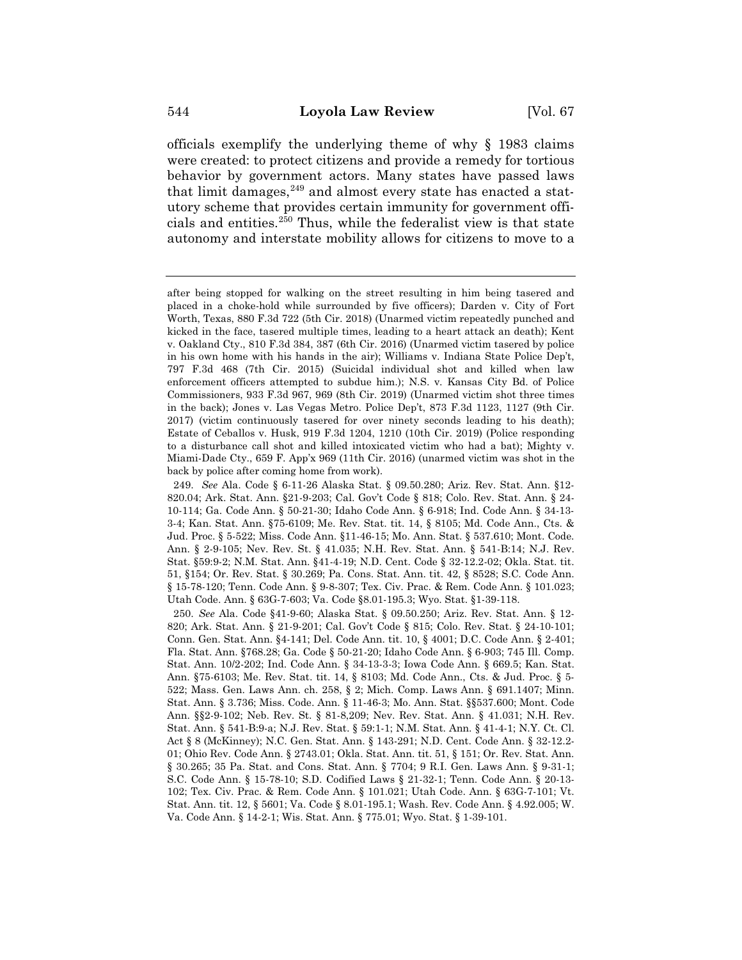officials exemplify the underlying theme of why § 1983 claims were created: to protect citizens and provide a remedy for tortious behavior by government actors. Many states have passed laws that limit damages, $249$  and almost every state has enacted a statutory scheme that provides certain immunity for government officials and entities.250 Thus, while the federalist view is that state autonomy and interstate mobility allows for citizens to move to a

after being stopped for walking on the street resulting in him being tasered and placed in a choke-hold while surrounded by five officers); Darden v. City of Fort Worth, Texas, 880 F.3d 722 (5th Cir. 2018) (Unarmed victim repeatedly punched and kicked in the face, tasered multiple times, leading to a heart attack an death); Kent v. Oakland Cty., 810 F.3d 384, 387 (6th Cir. 2016) (Unarmed victim tasered by police in his own home with his hands in the air); Williams v. Indiana State Police Dep't, 797 F.3d 468 (7th Cir. 2015) (Suicidal individual shot and killed when law enforcement officers attempted to subdue him.); N.S. v. Kansas City Bd. of Police Commissioners, 933 F.3d 967, 969 (8th Cir. 2019) (Unarmed victim shot three times in the back); Jones v. Las Vegas Metro. Police Dep't, 873 F.3d 1123, 1127 (9th Cir. 2017) (victim continuously tasered for over ninety seconds leading to his death); Estate of Ceballos v. Husk, 919 F.3d 1204, 1210 (10th Cir. 2019) (Police responding to a disturbance call shot and killed intoxicated victim who had a bat); Mighty v. Miami-Dade Cty., 659 F. App'x 969 (11th Cir. 2016) (unarmed victim was shot in the back by police after coming home from work).

<sup>249.</sup> *See* Ala. Code § 6-11-26 Alaska Stat. § 09.50.280; Ariz. Rev. Stat. Ann. §12- 820.04; Ark. Stat. Ann. §21-9-203; Cal. Gov't Code § 818; Colo. Rev. Stat. Ann. § 24- 10-114; Ga. Code Ann. § 50-21-30; Idaho Code Ann. § 6-918; Ind. Code Ann. § 34-13- 3-4; Kan. Stat. Ann. §75-6109; Me. Rev. Stat. tit. 14, § 8105; Md. Code Ann., Cts. & Jud. Proc. § 5-522; Miss. Code Ann. §11-46-15; Mo. Ann. Stat. § 537.610; Mont. Code. Ann. § 2-9-105; Nev. Rev. St. § 41.035; N.H. Rev. Stat. Ann. § 541-B:14; N.J. Rev. Stat. §59:9-2; N.M. Stat. Ann. §41-4-19; N.D. Cent. Code § 32-12.2-02; Okla. Stat. tit. 51, §154; Or. Rev. Stat. § 30.269; Pa. Cons. Stat. Ann. tit. 42, § 8528; S.C. Code Ann. § 15-78-120; Tenn. Code Ann. § 9-8-307; Tex. Civ. Prac. & Rem. Code Ann. § 101.023; Utah Code. Ann. § 63G-7-603; Va. Code §8.01-195.3; Wyo. Stat. §1-39-118.

<sup>250.</sup> *See* Ala. Code §41-9-60; Alaska Stat. § 09.50.250; Ariz. Rev. Stat. Ann. § 12- 820; Ark. Stat. Ann. § 21-9-201; Cal. Gov't Code § 815; Colo. Rev. Stat. § 24-10-101; Conn. Gen. Stat. Ann. §4-141; Del. Code Ann. tit. 10, § 4001; D.C. Code Ann. § 2-401; Fla. Stat. Ann. §768.28; Ga. Code § 50-21-20; Idaho Code Ann. § 6-903; 745 Ill. Comp. Stat. Ann. 10/2-202; Ind. Code Ann. § 34-13-3-3; Iowa Code Ann. § 669.5; Kan. Stat. Ann. §75-6103; Me. Rev. Stat. tit. 14, § 8103; Md. Code Ann., Cts. & Jud. Proc. § 5- 522; Mass. Gen. Laws Ann. ch. 258, § 2; Mich. Comp. Laws Ann. § 691.1407; Minn. Stat. Ann. § 3.736; Miss. Code. Ann. § 11-46-3; Mo. Ann. Stat. §§537.600; Mont. Code Ann. §§2-9-102; Neb. Rev. St. § 81-8,209; Nev. Rev. Stat. Ann. § 41.031; N.H. Rev. Stat. Ann. § 541-B:9-a; N.J. Rev. Stat. § 59:1-1; N.M. Stat. Ann. § 41-4-1; N.Y. Ct. Cl. Act § 8 (McKinney); N.C. Gen. Stat. Ann. § 143-291; N.D. Cent. Code Ann. § 32-12.2- 01; Ohio Rev. Code Ann. § 2743.01; Okla. Stat. Ann. tit. 51, § 151; Or. Rev. Stat. Ann. § 30.265; 35 Pa. Stat. and Cons. Stat. Ann. § 7704; 9 R.I. Gen. Laws Ann. § 9-31-1; S.C. Code Ann. § 15-78-10; S.D. Codified Laws § 21-32-1; Tenn. Code Ann. § 20-13- 102; Tex. Civ. Prac. & Rem. Code Ann. § 101.021; Utah Code. Ann. § 63G-7-101; Vt. Stat. Ann. tit. 12, § 5601; Va. Code § 8.01-195.1; Wash. Rev. Code Ann. § 4.92.005; W. Va. Code Ann. § 14-2-1; Wis. Stat. Ann. § 775.01; Wyo. Stat. § 1-39-101.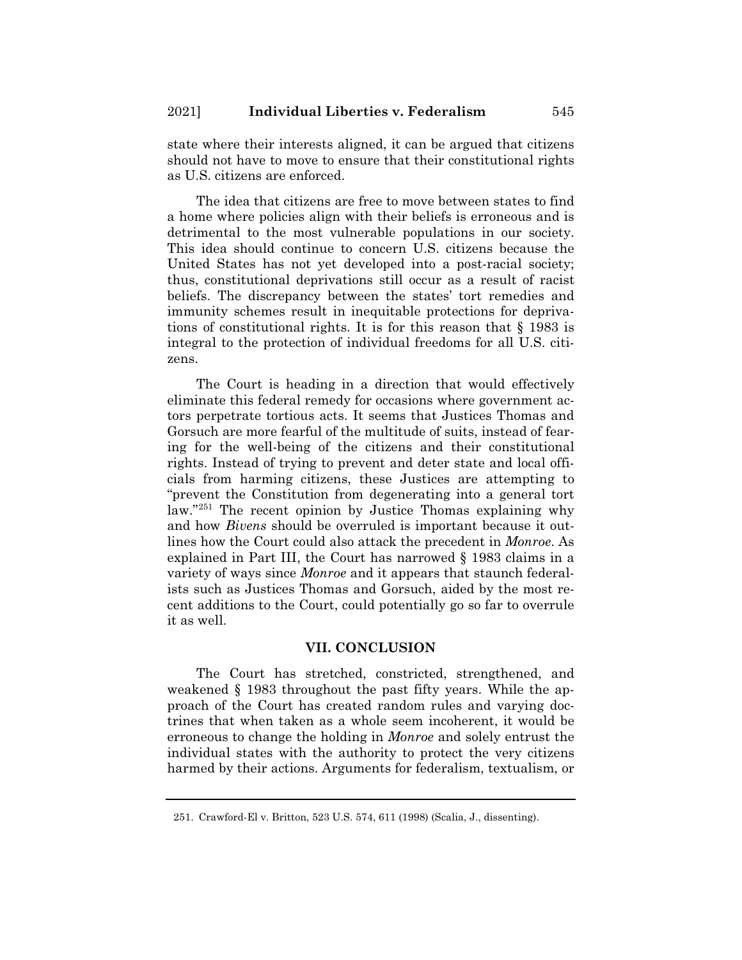state where their interests aligned, it can be argued that citizens should not have to move to ensure that their constitutional rights as U.S. citizens are enforced.

The idea that citizens are free to move between states to find a home where policies align with their beliefs is erroneous and is detrimental to the most vulnerable populations in our society. This idea should continue to concern U.S. citizens because the United States has not yet developed into a post-racial society; thus, constitutional deprivations still occur as a result of racist beliefs. The discrepancy between the states' tort remedies and immunity schemes result in inequitable protections for deprivations of constitutional rights. It is for this reason that § 1983 is integral to the protection of individual freedoms for all U.S. citizens.

The Court is heading in a direction that would effectively eliminate this federal remedy for occasions where government actors perpetrate tortious acts. It seems that Justices Thomas and Gorsuch are more fearful of the multitude of suits, instead of fearing for the well-being of the citizens and their constitutional rights. Instead of trying to prevent and deter state and local officials from harming citizens, these Justices are attempting to "prevent the Constitution from degenerating into a general tort law."251 The recent opinion by Justice Thomas explaining why and how *Bivens* should be overruled is important because it outlines how the Court could also attack the precedent in *Monroe*. As explained in Part III, the Court has narrowed § 1983 claims in a variety of ways since *Monroe* and it appears that staunch federalists such as Justices Thomas and Gorsuch, aided by the most recent additions to the Court, could potentially go so far to overrule it as well.

#### **VII. CONCLUSION**

The Court has stretched, constricted, strengthened, and weakened § 1983 throughout the past fifty years. While the approach of the Court has created random rules and varying doctrines that when taken as a whole seem incoherent, it would be erroneous to change the holding in *Monroe* and solely entrust the individual states with the authority to protect the very citizens harmed by their actions. Arguments for federalism, textualism, or

<sup>251.</sup> Crawford-El v. Britton, 523 U.S. 574, 611 (1998) (Scalia, J., dissenting).